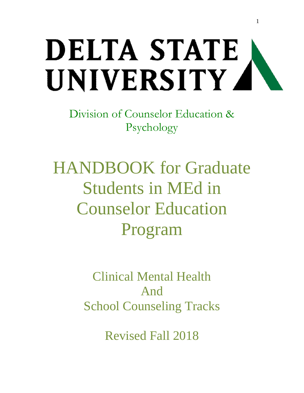# DELTA STATE UNIVERSITY 4

Division of Counselor Education & Psychology

HANDBOOK for Graduate Students in MEd in Counselor Education Program

> Clinical Mental Health And School Counseling Tracks

> > Revised Fall 2018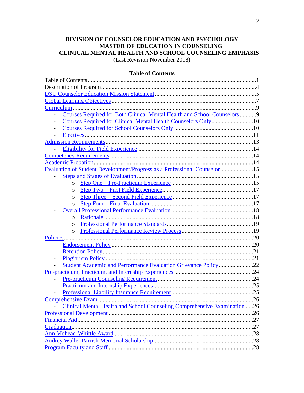# **DIVISION OF COUNSELOR EDUCATION AND PSYCHOLOGY MASTER OF EDUCATION IN COUNSELING CLINICAL MENTAL HEALTH AND SCHOOL COUNSELING EMPHASIS**

(Last Revision November 2018)

## **Table of Contents**

| Courses Required for Both Clinical Mental Health and School Counselors 9  |     |
|---------------------------------------------------------------------------|-----|
|                                                                           |     |
|                                                                           |     |
|                                                                           |     |
|                                                                           |     |
|                                                                           |     |
|                                                                           |     |
|                                                                           |     |
| Evaluation of Student Development/Progress as a Professional Counselor 15 |     |
|                                                                           |     |
| $\circ$                                                                   |     |
| O                                                                         |     |
| O                                                                         |     |
| O                                                                         |     |
|                                                                           |     |
| $\circ$                                                                   |     |
| $\circ$                                                                   |     |
| $\circ$                                                                   |     |
| Policies.                                                                 |     |
|                                                                           |     |
|                                                                           |     |
|                                                                           |     |
| Student Academic and Performance Evaluation Grievance Policy22            |     |
|                                                                           |     |
| $\overline{a}$                                                            |     |
|                                                                           |     |
|                                                                           |     |
| <b>Comprehensive Exam</b>                                                 | .26 |
| Clinical Mental Health and School Counseling Comprehensive Examination 26 |     |
|                                                                           | .26 |
|                                                                           |     |
|                                                                           |     |
|                                                                           |     |
|                                                                           |     |
|                                                                           |     |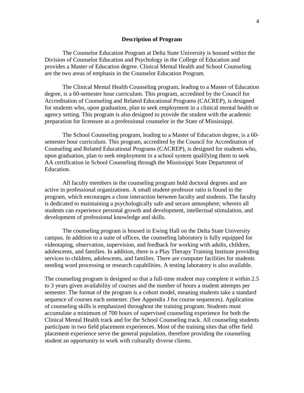#### **Description of Program**

The Counselor Education Program at Delta State University is housed within the Division of Counselor Education and Psychology in the College of Education and provides a Master of Education degree. Clinical Mental Health and School Counseling are the two areas of emphasis in the Counselor Education Program.

The Clinical Mental Health Counseling program, leading to a Master of Education degree, is a 60-semester hour curriculum. This program, accredited by the Council for Accreditation of Counseling and Related Educational Programs (CACREP), is designed for students who, upon graduation, plan to seek employment in a clinical mental health or agency setting. This program is also designed to provide the student with the academic preparation for licensure as a professional counselor in the State of Mississippi.

The School Counseling program, leading to a Master of Education degree, is a 60 semester hour curriculum. This program, accredited by the Council for Accreditation of Counseling and Related Educational Programs (CACREP), is designed for students who, upon graduation, plan to seek employment in a school system qualifying them to seek AA certification in School Counseling through the Mississippi State Department of Education.

All faculty members in the counseling program hold doctoral degrees and are active in professional organizations. A small student-professor ratio is found in the program, which encourages a close interaction between faculty and students. The faculty is dedicated to maintaining a psychologically safe and secure atmosphere; wherein all students can experience personal growth and development, intellectual stimulation, and development of professional knowledge and skills.

The counseling program is housed in Ewing Hall on the Delta State University campus. In addition to a suite of offices, the counseling laboratory is fully equipped for videotaping, observation, supervision, and feedback for working with adults, children, adolescents, and families. In addition, there is a Play Therapy Training Institute providing services to children, adolescents, and families. There are computer facilities for students needing word processing or research capabilities. A testing laboratory is also available.

The counseling program is designed so that a full-time student may complete it within 2.5 to 3 years given availability of courses and the number of hours a student attempts per semester. The format of the program is a cohort model, meaning students take a standard sequence of courses each semester. (See Appendix J for course sequences). Application of counseling skills is emphasized throughout the training program. Students must accumulate a minimum of 700 hours of supervised counseling experience for both the Clinical Mental Health track and for the School Counseling track. All counseling students participate in two field placement experiences. Most of the training sites that offer field placement experience serve the general population, therefore providing the counseling student an opportunity to work with culturally diverse clients.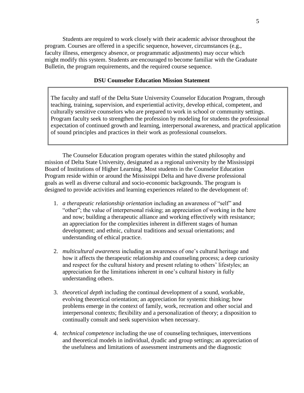Students are required to work closely with their academic advisor throughout the program. Courses are offered in a specific sequence, however, circumstances (e.g., faculty illness, emergency absence, or programmatic adjustments) may occur which might modify this system. Students are encouraged to become familiar with the Graduate Bulletin, the program requirements, and the required course sequence.

## **DSU Counselor Education Mission Statement**

<span id="page-4-0"></span>The faculty and staff of the Delta State University Counselor Education Program, through teaching, training, supervision, and experiential activity, develop ethical, competent, and culturally sensitive counselors who are prepared to work in school or community settings. Program faculty seek to strengthen the profession by modeling for students the professional expectation of continued growth and learning, interpersonal awareness, and practical application of sound principles and practices in their work as professional counselors.

The Counselor Education program operates within the stated philosophy and mission of Delta State University, designated as a regional university by the Mississippi Board of Institutions of Higher Learning. Most students in the Counselor Education Program reside within or around the Mississippi Delta and have diverse professional goals as well as diverse cultural and socio-economic backgrounds. The program is designed to provide activities and learning experiences related to the development of:

- 1. *a therapeutic relationship orientation* including an awareness of "self" and "other"; the value of interpersonal risking; an appreciation of working in the here and now; building a therapeutic alliance and working effectively with resistance; an appreciation for the complexities inherent in different stages of human development; and ethnic, cultural traditions and sexual orientations; and understanding of ethical practice.
- 2. *multicultural awareness* including an awareness of one's cultural heritage and how it affects the therapeutic relationship and counseling process; a deep curiosity and respect for the cultural history and present relating to others' lifestyles; an appreciation for the limitations inherent in one's cultural history in fully understanding others.
- 3. *theoretical depth* including the continual development of a sound, workable, evolving theoretical orientation; an appreciation for systemic thinking; how problems emerge in the context of family, work, recreation and other social and interpersonal contexts; flexibility and a personalization of theory; a disposition to continually consult and seek supervision when necessary.
- 4. *technical competence* including the use of counseling techniques, interventions and theoretical models in individual, dyadic and group settings; an appreciation of the usefulness and limitations of assessment instruments and the diagnostic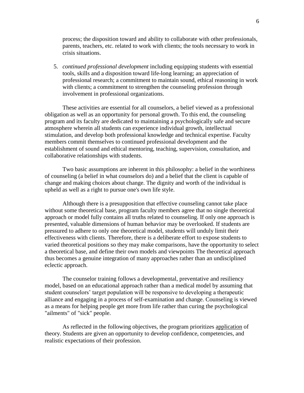process; the disposition toward and ability to collaborate with other professionals, parents, teachers, etc. related to work with clients; the tools necessary to work in crisis situations.

5. *continued professional development* including equipping students with essential tools, skills and a disposition toward life-long learning; an appreciation of professional research; a commitment to maintain sound, ethical reasoning in work with clients; a commitment to strengthen the counseling profession through involvement in professional organizations.

These activities are essential for all counselors, a belief viewed as a professional obligation as well as an opportunity for personal growth. To this end, the counseling program and its faculty are dedicated to maintaining a psychologically safe and secure atmosphere wherein all students can experience individual growth, intellectual stimulation, and develop both professional knowledge and technical expertise. Faculty members commit themselves to continued professional development and the establishment of sound and ethical mentoring, teaching, supervision, consultation, and collaborative relationships with students.

Two basic assumptions are inherent in this philosophy: a belief in the worthiness of counseling (a belief in what counselors do) and a belief that the client is capable of change and making choices about change. The dignity and worth of the individual is upheld as well as a right to pursue one's own life style.

Although there is a presupposition that effective counseling cannot take place without some theoretical base, program faculty members agree that no single theoretical approach or model fully contains all truths related to counseling. If only one approach is presented, valuable dimensions of human behavior may be overlooked. If students are pressured to adhere to only one theoretical model, students will unduly limit their effectiveness with clients. Therefore, there is a deliberate effort to expose students to varied theoretical positions so they may make comparisons, have the opportunity to select a theoretical base, and define their own models and viewpoints The theoretical approach thus becomes a genuine integration of many approaches rather than an undisciplined eclectic approach.

The counselor training follows a developmental, preventative and resiliency model, based on an educational approach rather than a medical model by assuming that student counselors' target population will be responsive to developing a therapeutic alliance and engaging in a process of self-examination and change. Counseling is viewed as a means for helping people get more from life rather than curing the psychological "ailments" of "sick" people.

As reflected in the following objectives, the program prioritizes application of theory. Students are given an opportunity to develop confidence, competencies, and realistic expectations of their profession.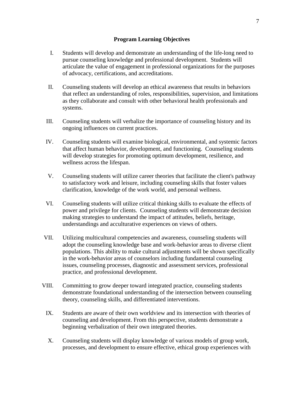- <span id="page-6-1"></span><span id="page-6-0"></span>I. Students will develop and demonstrate an understanding of the life-long need to pursue counseling knowledge and professional development. Students will articulate the value of engagement in professional organizations for the purposes of advocacy, certifications, and accreditations.
- II. Counseling students will develop an ethical awareness that results in behaviors that reflect an understanding of roles, responsibilities, supervision, and limitations as they collaborate and consult with other behavioral health professionals and systems.
- III. Counseling students will verbalize the importance of counseling history and its ongoing influences on current practices.
- IV. Counseling students will examine biological, environmental, and systemic factors that affect human behavior, development, and functioning. Counseling students will develop strategies for promoting optimum development, resilience, and wellness across the lifespan.
- V. Counseling students will utilize career theories that facilitate the client's pathway to satisfactory work and leisure, including counseling skills that foster values clarification, knowledge of the work world, and personal wellness.
- VI. Counseling students will utilize critical thinking skills to evaluate the effects of power and privilege for clients. Counseling students will demonstrate decision making strategies to understand the impact of attitudes, beliefs, heritage, understandings and acculturative experiences on views of others.
- VII. Utilizing multicultural competencies and awareness, counseling students will adopt the counseling knowledge base and work-behavior areas to diverse client populations. This ability to make cultural adjustments will be shown specifically in the work-behavior areas of counselors including fundamental counseling issues, counseling processes, diagnostic and assessment services, professional practice, and professional development.
- VIII. Committing to grow deeper toward integrated practice, counseling students demonstrate foundational understanding of the intersection between counseling theory, counseling skills, and differentiated interventions.
	- IX. Students are aware of their own worldview and its intersection with theories of counseling and development. From this perspective, students demonstrate a beginning verbalization of their own integrated theories.
	- X. Counseling students will display knowledge of various models of group work, processes, and development to ensure effective, ethical group experiences with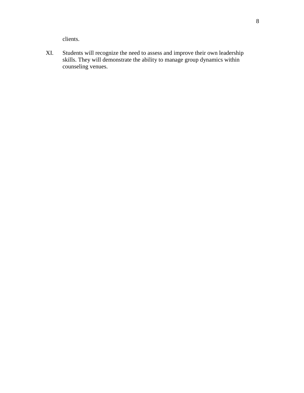clients.

XI. Students will recognize the need to assess and improve their own leadership skills. They will demonstrate the ability to manage group dynamics within counseling venues.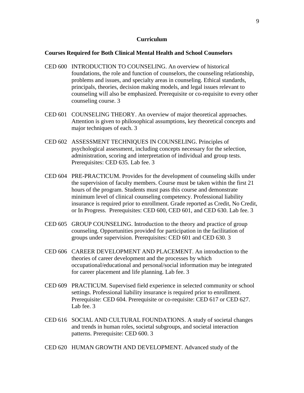#### **Curriculum**

#### <span id="page-8-0"></span>**Courses Required for Both Clinical Mental Health and School Counselors**

- CED 600 INTRODUCTION TO COUNSELING. An overview of historical foundations, the role and function of counselors, the counseling relationship, problems and issues, and specialty areas in counseling. Ethical standards, principals, theories, decision making models, and legal issues relevant to counseling will also be emphasized. Prerequisite or co-requisite to every other counseling course. 3
- CED 601 COUNSELING THEORY. An overview of major theoretical approaches. Attention is given to philosophical assumptions, key theoretical concepts and major techniques of each. 3
- CED 602 ASSESSMENT TECHNIQUES IN COUNSELING. Principles of psychological assessment, including concepts necessary for the selection, administration, scoring and interpretation of individual and group tests. Prerequisites: CED 635. Lab fee. 3
- CED 604 PRE-PRACTICUM. Provides for the development of counseling skills under the supervision of faculty members. Course must be taken within the first 21 hours of the program. Students must pass this course and demonstrate minimum level of clinical counseling competency. Professional liability insurance is required prior to enrollment. Grade reported as Credit, No Credit, or In Progress. Prerequisites: CED 600, CED 601, and CED 630. Lab fee. 3
- CED 605 GROUP COUNSELING. Introduction to the theory and practice of group counseling. Opportunities provided for participation in the facilitation of groups under supervision. Prerequisites: CED 601 and CED 630. 3
- CED 606 CAREER DEVELOPMENT AND PLACEMENT. An introduction to the theories of career development and the processes by which occupational/educational and personal/social information may be integrated for career placement and life planning. Lab fee. 3
- CED 609 PRACTICUM. Supervised field experience in selected community or school settings. Professional liability insurance is required prior to enrollment. Prerequisite: CED 604. Prerequisite or co-requisite: CED 617 or CED 627. Lab fee. 3
- CED 616 SOCIAL AND CULTURAL FOUNDATIONS. A study of societal changes and trends in human roles, societal subgroups, and societal interaction patterns. Prerequisite: CED 600. 3
- CED 620 HUMAN GROWTH AND DEVELOPMENT. Advanced study of the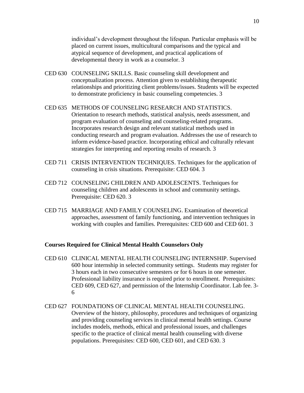individual's development throughout the lifespan. Particular emphasis will be placed on current issues, multicultural comparisons and the typical and atypical sequence of development, and practical applications of developmental theory in work as a counselor. 3

- CED 630 COUNSELING SKILLS. Basic counseling skill development and conceptualization process. Attention given to establishing therapeutic relationships and prioritizing client problems/issues. Students will be expected to demonstrate proficiency in basic counseling competencies. 3
- CED 635 METHODS OF COUNSELING RESEARCH AND STATISTICS. Orientation to research methods, statistical analysis, needs assessment, and program evaluation of counseling and counseling-related programs. Incorporates research design and relevant statistical methods used in conducting research and program evaluation. Addresses the use of research to inform evidence-based practice. Incorporating ethical and culturally relevant strategies for interpreting and reporting results of research. 3
- CED 711 CRISIS INTERVENTION TECHNIQUES. Techniques for the application of counseling in crisis situations. Prerequisite: CED 604. 3
- CED 712 COUNSELING CHILDREN AND ADOLESCENTS. Techniques for counseling children and adolescents in school and community settings. Prerequisite: CED 620. 3
- CED 715 MARRIAGE AND FAMILY COUNSELING. Examination of theoretical approaches, assessment of family functioning, and intervention techniques in working with couples and families. Prerequisites: CED 600 and CED 601. 3

### <span id="page-9-0"></span>**Courses Required for Clinical Mental Health Counselors Only**

- CED 610 CLINICAL MENTAL HEALTH COUNSELING INTERNSHIP. Supervised 600 hour internship in selected community settings. Students may register for 3 hours each in two consecutive semesters or for 6 hours in one semester. Professional liability insurance is required prior to enrollment. Prerequisites: CED 609, CED 627, and permission of the Internship Coordinator. Lab fee. 3- 6
- CED 627 FOUNDATIONS OF CLINICAL MENTAL HEALTH COUNSELING. Overview of the history, philosophy, procedures and techniques of organizing and providing counseling services in clinical mental health settings. Course includes models, methods, ethical and professional issues, and challenges specific to the practice of clinical mental health counseling with diverse populations. Prerequisites: CED 600, CED 601, and CED 630. 3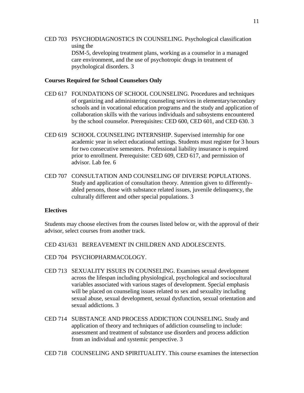CED 703 PSYCHODIAGNOSTICS IN COUNSELING. Psychological classification using the DSM-5, developing treatment plans, working as a counselor in a managed care environment, and the use of psychotropic drugs in treatment of psychological disorders. 3

## <span id="page-10-0"></span>**Courses Required for School Counselors Only**

- CED 617 FOUNDATIONS OF SCHOOL COUNSELING. Procedures and techniques of organizing and administering counseling services in elementary/secondary schools and in vocational education programs and the study and application of collaboration skills with the various individuals and subsystems encountered by the school counselor. Prerequisites: CED 600, CED 601, and CED 630. 3
- CED 619 SCHOOL COUNSELING INTERNSHIP. Supervised internship for one academic year in select educational settings. Students must register for 3 hours for two consecutive semesters. Professional liability insurance is required prior to enrollment. Prerequisite: CED 609, CED 617, and permission of advisor. Lab fee. 6
- CED 707 CONSULTATION AND COUNSELING OF DIVERSE POPULATIONS. Study and application of consultation theory. Attention given to differentlyabled persons, those with substance related issues, juvenile delinquency, the culturally different and other special populations. 3

## <span id="page-10-1"></span>**Electives**

Students may choose electives from the courses listed below or, with the approval of their advisor, select courses from another track.

CED 431/631 BEREAVEMENT IN CHILDREN AND ADOLESCENTS.

- CED 704 PSYCHOPHARMACOLOGY.
- CED 713 SEXUALITY ISSUES IN COUNSELING. Examines sexual development across the lifespan including physiological, psychological and sociocultural variables associated with various stages of development. Special emphasis will be placed on counseling issues related to sex and sexuality including sexual abuse, sexual development, sexual dysfunction, sexual orientation and sexual addictions. 3
- CED 714 SUBSTANCE AND PROCESS ADDICTION COUNSELING. Study and application of theory and techniques of addiction counseling to include: assessment and treatment of substance use disorders and process addiction from an individual and systemic perspective. 3

CED 718 COUNSELING AND SPIRITUALITY. This course examines the intersection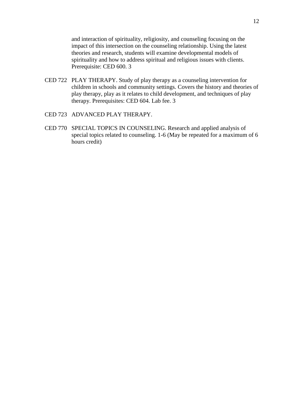and interaction of spirituality, religiosity, and counseling focusing on the impact of this intersection on the counseling relationship. Using the latest theories and research, students will examine developmental models of spirituality and how to address spiritual and religious issues with clients. Prerequisite: CED 600. 3

- CED 722 PLAY THERAPY. Study of play therapy as a counseling intervention for children in schools and community settings. Covers the history and theories of play therapy, play as it relates to child development, and techniques of play therapy. Prerequisites: CED 604. Lab fee. 3
- CED 723 ADVANCED PLAY THERAPY.
- <span id="page-11-0"></span>CED 770 SPECIAL TOPICS IN COUNSELING. Research and applied analysis of special topics related to counseling. 1-6 (May be repeated for a maximum of 6 hours credit)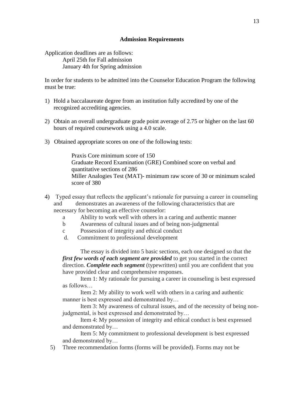Application deadlines are as follows: April 25th for Fall admission January 4th for Spring admission

In order for students to be admitted into the Counselor Education Program the following must be true:

- 1) Hold a baccalaureate degree from an institution fully accredited by one of the recognized accrediting agencies.
- 2) Obtain an overall undergraduate grade point average of 2.75 or higher on the last 60 hours of required coursework using a 4.0 scale.
- 3) Obtained appropriate scores on one of the following tests:

Praxis Core minimum score of 150 Graduate Record Examination (GRE) Combined score on verbal and quantitative sections of 286 Miller Analogies Test (MAT)- minimum raw score of 30 or minimum scaled score of 380

- 4) Typed essay that reflects the applicant's rationale for pursuing a career in counseling and demonstrates an awareness of the following characteristics that are necessary for becoming an effective counselor:
	- a Ability to work well with others in a caring and authentic manner
	- b Awareness of cultural issues and of being non-judgmental
	- c Possession of integrity and ethical conduct
	- d. Commitment to professional development

The essay is divided into 5 basic sections, each one designed so that the *first few words of each segment are provided* to get you started in the correct direction. *Complete each segment* (typewritten) until you are confident that you have provided clear and comprehensive responses.

Item 1: My rationale for pursuing a career in counseling is best expressed as follows…

Item 2: My ability to work well with others in a caring and authentic manner is best expressed and demonstrated by…

Item 3: My awareness of cultural issues, and of the necessity of being nonjudgmental, is best expressed and demonstrated by…

Item 4: My possession of integrity and ethical conduct is best expressed and demonstrated by…

Item 5: My commitment to professional development is best expressed and demonstrated by…

5) Three recommendation forms (forms will be provided). Forms may not be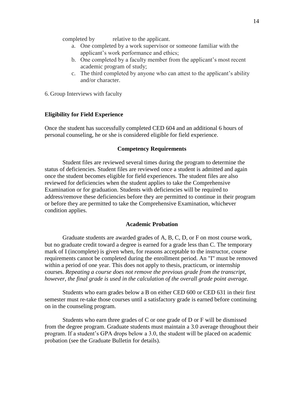completed by relative to the applicant.

- a. One completed by a work supervisor or someone familiar with the applicant's work performance and ethics;
- b. One completed by a faculty member from the applicant's most recent academic program of study;
- c. The third completed by anyone who can attest to the applicant's ability and/or character.

6. Group Interviews with faculty

#### <span id="page-13-0"></span>**Eligibility for Field Experience**

Once the student has successfully completed CED 604 and an additional 6 hours of personal counseling, he or she is considered eligible for field experience.

#### **Competency Requirements**

<span id="page-13-1"></span>Student files are reviewed several times during the program to determine the status of deficiencies. Student files are reviewed once a student is admitted and again once the student becomes eligible for field experiences. The student files are also reviewed for deficiencies when the student applies to take the Comprehensive Examination or for graduation. Students with deficiencies will be required to address/remove these deficiencies before they are permitted to continue in their program or before they are permitted to take the Comprehensive Examination, whichever condition applies.

#### **Academic Probation**

<span id="page-13-2"></span>Graduate students are awarded grades of A, B, C, D, or F on most course work, but no graduate credit toward a degree is earned for a grade less than C. The temporary mark of I (incomplete) is given when, for reasons acceptable to the instructor, course requirements cannot be completed during the enrollment period. An "I" must be removed within a period of one year. This does not apply to thesis, practicum, or internship courses. *Repeating a course does not remove the previous grade from the transcript, however, the final grade is used in the calculation of the overall grade point average.*

Students who earn grades below a B on either CED 600 or CED 631 in their first semester must re-take those courses until a satisfactory grade is earned before continuing on in the counseling program.

Students who earn three grades of C or one grade of D or F will be dismissed from the degree program. Graduate students must maintain a 3.0 average throughout their program. If a student's GPA drops below a 3.0, the student will be placed on academic probation (see the Graduate Bulletin for details).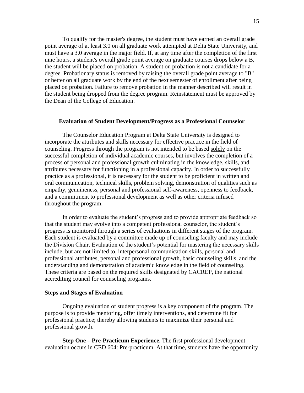To qualify for the master's degree, the student must have earned an overall grade point average of at least 3.0 on all graduate work attempted at Delta State University, and must have a 3.0 average in the major field. If, at any time after the completion of the first nine hours, a student's overall grade point average on graduate courses drops below a B, the student will be placed on probation. A student on probation is not a candidate for a degree. Probationary status is removed by raising the overall grade point average to "B" or better on all graduate work by the end of the next semester of enrollment after being placed on probation. Failure to remove probation in the manner described will result in the student being dropped from the degree program. Reinstatement must be approved by the Dean of the College of Education.

## <span id="page-14-0"></span>**Evaluation of Student Development/Progress as a Professional Counselor**

The Counselor Education Program at Delta State University is designed to incorporate the attributes and skills necessary for effective practice in the field of counseling. Progress through the program is not intended to be based solely on the successful completion of individual academic courses, but involves the completion of a process of personal and professional growth culminating in the knowledge, skills, and attributes necessary for functioning in a professional capacity. In order to successfully practice as a professional, it is necessary for the student to be proficient in written and oral communication, technical skills, problem solving, demonstration of qualities such as empathy, genuineness, personal and professional self-awareness, openness to feedback, and a commitment to professional development as well as other criteria infused throughout the program.

In order to evaluate the student's progress and to provide appropriate feedback so that the student may evolve into a competent professional counselor, the student's progress is monitored through a series of evaluations in different stages of the program. Each student is evaluated by a committee made up of counseling faculty and may include the Division Chair. Evaluation of the student's potential for mastering the necessary skills include, but are not limited to, interpersonal communication skills, personal and professional attributes, personal and professional growth, basic counseling skills, and the understanding and demonstration of academic knowledge in the field of counseling. These criteria are based on the required skills designated by CACREP, the national accrediting council for counseling programs.

#### <span id="page-14-1"></span>**Steps and Stages of Evaluation**

Ongoing evaluation of student progress is a key component of the program. The purpose is to provide mentoring, offer timely interventions, and determine fit for professional practice; thereby allowing students to maximize their personal and professional growth.

<span id="page-14-2"></span>**Step One – Pre-Practicum Experience.** The first professional development evaluation occurs in CED 604: Pre-practicum. At that time, students have the opportunity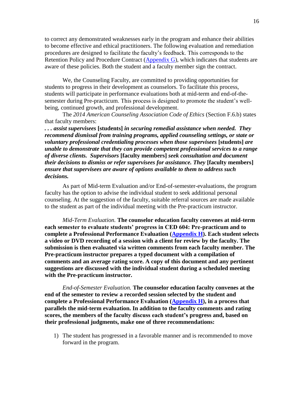to correct any demonstrated weaknesses early in the program and enhance their abilities to become effective and ethical practitioners. The following evaluation and remediation procedures are designed to facilitate the faculty's feedback. This corresponds to the Retention Policy and Procedure Contract [\(Appendix G\)](#page-38-0), which indicates that students are aware of these policies. Both the student and a faculty member sign the contract.

We, the Counseling Faculty, are committed to providing opportunities for students to progress in their development as counselors. To facilitate this process, students will participate in performance evaluations both at mid-term and end-of-thesemester during Pre-practicum. This process is designed to promote the student's wellbeing, continued growth, and professional development.

The *2014 American Counseling Association Code of Ethics* (Section F.6.b) states that faculty members:

*. . . assist supervisees* **[students]** *in securing remedial assistance when needed. They recommend dismissal from training programs, applied counseling settings, or state or voluntary professional credentialing processes when those supervisees* **[students]** *are unable to demonstrate that they can provide competent professional services to a range of diverse clients. Supervisors* **[faculty members]** *seek consultation and document their decisions to dismiss or refer supervisees for assistance. They* **[faculty members]** *ensure that supervisees are aware of options available to them to address such decisions.*

As part of Mid-term Evaluation and/or End-of-semester-evaluations, the program faculty has the option to advise the individual student to seek additional personal counseling. At the suggestion of the faculty, suitable referral sources are made available to the student as part of the individual meeting with the Pre-practicum instructor.

*Mid-Term Evaluation.* **The counselor education faculty convenes at mid-term each semester to evaluate students' progress in CED 604: Pre-practicum and to complete a Professional Performance Evaluation [\(Appendix H\)](#page-40-0). Each student selects a video or DVD recording of a session with a client for review by the faculty. The submission is then evaluated via written comments from each faculty member. The Pre-practicum instructor prepares a typed document with a compilation of comments and an average rating score. A copy of this document and any pertinent suggestions are discussed with the individual student during a scheduled meeting with the Pre-practicum instructor.** 

*End-of-Semester Evaluation.* **The counselor education faculty convenes at the end of the semester to review a recorded session selected by the student and complete a Professional Performance Evaluation [\(Appendix H\)](#page-40-0), in a process that parallels the mid-term evaluation. In addition to the faculty comments and rating scores, the members of the faculty discuss each student's progress and, based on their professional judgments, make one of three recommendations:**

1) The student has progressed in a favorable manner and is recommended to move forward in the program.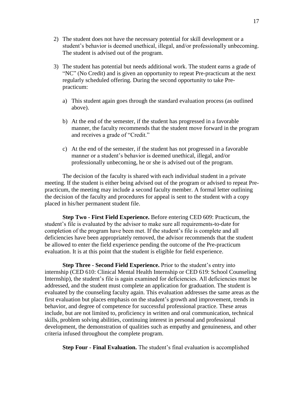- 2) The student does not have the necessary potential for skill development or a student's behavior is deemed unethical, illegal, and/or professionally unbecoming. The student is advised out of the program.
- 3) The student has potential but needs additional work. The student earns a grade of "NC" (No Credit) and is given an opportunity to repeat Pre-practicum at the next regularly scheduled offering. During the second opportunity to take Prepracticum:
	- a) This student again goes through the standard evaluation process (as outlined above).
	- b) At the end of the semester, if the student has progressed in a favorable manner, the faculty recommends that the student move forward in the program and receives a grade of "Credit."
	- c) At the end of the semester, if the student has not progressed in a favorable manner or a student's behavior is deemed unethical, illegal, and/or professionally unbecoming, he or she is advised out of the program.

The decision of the faculty is shared with each individual student in a private meeting. If the student is either being advised out of the program or advised to repeat Prepracticum, the meeting may include a second faculty member. A formal letter outlining the decision of the faculty and procedures for appeal is sent to the student with a copy placed in his/her permanent student file.

<span id="page-16-0"></span>**Step Two - First Field Experience.** Before entering CED 609: Practicum, the student's file is evaluated by the advisor to make sure all requirements-to-date for completion of the program have been met. If the student's file is complete and all deficiencies have been appropriately removed, the advisor recommends that the student be allowed to enter the field experience pending the outcome of the Pre-practicum evaluation. It is at this point that the student is eligible for field experience.

<span id="page-16-1"></span>**Step Three - Second Field Experience.** Prior to the student's entry into internship (CED 610: Clinical Mental Health Internship or CED 619: School Counseling Internship), the student's file is again examined for deficiencies. All deficiencies must be addressed, and the student must complete an application for graduation. The student is evaluated by the counseling faculty again. This evaluation addresses the same areas as the first evaluation but places emphasis on the student's growth and improvement, trends in behavior, and degree of competence for successful professional practice. These areas include, but are not limited to, proficiency in written and oral communication, technical skills, problem solving abilities, continuing interest in personal and professional development, the demonstration of qualities such as empathy and genuineness, and other criteria infused throughout the complete program.

<span id="page-16-2"></span>**Step Four - Final Evaluation.** The student's final evaluation is accomplished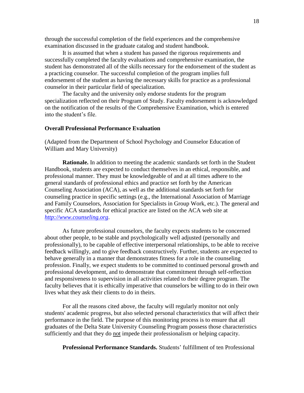through the successful completion of the field experiences and the comprehensive examination discussed in the graduate catalog and student handbook.

It is assumed that when a student has passed the rigorous requirements and successfully completed the faculty evaluations and comprehensive examination, the student has demonstrated all of the skills necessary for the endorsement of the student as a practicing counselor. The successful completion of the program implies full endorsement of the student as having the necessary skills for practice as a professional counselor in their particular field of specialization.

The faculty and the university only endorse students for the program specialization reflected on their Program of Study. Faculty endorsement is acknowledged on the notification of the results of the Comprehensive Examination, which is entered into the student's file.

## <span id="page-17-0"></span>**Overall Professional Performance Evaluation**

(Adapted from the Department of School Psychology and Counselor Education of William and Mary University)

<span id="page-17-1"></span>**Rationale.** In addition to meeting the academic standards set forth in the Student Handbook, students are expected to conduct themselves in an ethical, responsible, and professional manner. They must be knowledgeable of and at all times adhere to the general standards of professional ethics and practice set forth by the American Counseling Association (ACA), as well as the additional standards set forth for counseling practice in specific settings (e.g., the International Association of Marriage and Family Counselors, Association for Specialists in Group Work, etc.). The general and specific ACA standards for ethical practice are listed on the ACA web site at *[http://www.counseling.org](http://www.counseling.org/)*.

As future professional counselors, the faculty expects students to be concerned about other people, to be stable and psychologically well adjusted (personally and professionally), to be capable of effective interpersonal relationships, to be able to receive feedback willingly, and to give feedback constructively. Further, students are expected to behave generally in a manner that demonstrates fitness for a role in the counseling profession. Finally, we expect students to be committed to continued personal growth and professional development, and to demonstrate that commitment through self-reflection and responsiveness to supervision in all activities related to their degree program. The faculty believes that it is ethically imperative that counselors be willing to do in their own lives what they ask their clients to do in theirs.

For all the reasons cited above, the faculty will regularly monitor not only students' academic progress, but also selected personal characteristics that will affect their performance in the field. The purpose of this monitoring process is to ensure that all graduates of the Delta State University Counseling Program possess those characteristics sufficiently and that they do not impede their professionalism or helping capacity.

<span id="page-17-2"></span>**Professional Performance Standards.** Students' fulfillment of ten Professional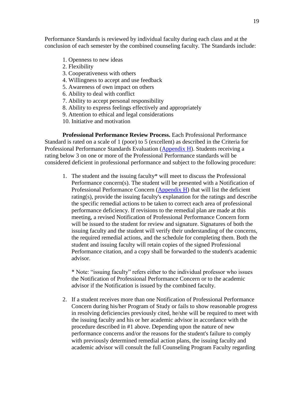Performance Standards is reviewed by individual faculty during each class and at the conclusion of each semester by the combined counseling faculty. The Standards include:

- 1. Openness to new ideas
- 2. Flexibility
- 3. Cooperativeness with others
- 4. Willingness to accept and use feedback
- 5. Awareness of own impact on others
- 6. Ability to deal with conflict
- 7. Ability to accept personal responsibility
- 8. Ability to express feelings effectively and appropriately
- 9. Attention to ethical and legal considerations
- 10. Initiative and motivation

<span id="page-18-0"></span>**Professional Performance Review Process.** Each Professional Performance Standard is rated on a scale of 1 (poor) to 5 (excellent) as described in the Criteria for Professional Performance Standards Evaluation [\(Appendix H\)](#page-40-0). Students receiving a rating below 3 on one or more of the Professional Performance standards will be considered deficient in professional performance and subject to the following procedure:

1. The student and the issuing faculty\* will meet to discuss the Professional Performance concern(s). The student will be presented with a Notification of Professional Performance Concern [\(Appendix H\)](#page-40-0) that will list the deficient rating(s), provide the issuing faculty's explanation for the ratings and describe the specific remedial actions to be taken to correct each area of professional performance deficiency. If revisions to the remedial plan are made at this meeting, a revised Notification of Professional Performance Concern form will be issued to the student for review and signature. Signatures of both the issuing faculty and the student will verify their understanding of the concerns, the required remedial actions, and the schedule for completing them. Both the student and issuing faculty will retain copies of the signed Professional Performance citation, and a copy shall be forwarded to the student's academic advisor.

\* Note: "issuing faculty" refers either to the individual professor who issues the Notification of Professional Performance Concern or to the academic advisor if the Notification is issued by the combined faculty.

2. If a student receives more than one Notification of Professional Performance Concern during his/her Program of Study or fails to show reasonable progress in resolving deficiencies previously cited, he/she will be required to meet with the issuing faculty and his or her academic advisor in accordance with the procedure described in #1 above. Depending upon the nature of new performance concerns and/or the reasons for the student's failure to comply with previously determined remedial action plans, the issuing faculty and academic advisor will consult the full Counseling Program Faculty regarding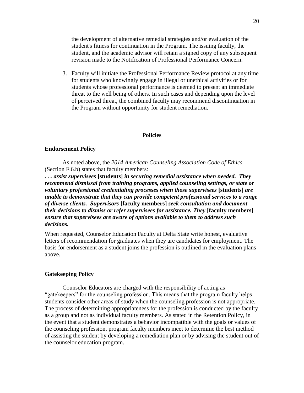the development of alternative remedial strategies and/or evaluation of the student's fitness for continuation in the Program. The issuing faculty, the student, and the academic advisor will retain a signed copy of any subsequent revision made to the Notification of Professional Performance Concern.

3. Faculty will initiate the Professional Performance Review protocol at any time for students who knowingly engage in illegal or unethical activities or for students whose professional performance is deemed to present an immediate threat to the well being of others. In such cases and depending upon the level of perceived threat, the combined faculty may recommend discontinuation in the Program without opportunity for student remediation.

#### **Policies**

#### <span id="page-19-1"></span><span id="page-19-0"></span>**Endorsement Policy**

As noted above, the *2014 American Counseling Association Code of Ethics* (Section F.6.b) states that faculty members:

*. . . assist supervisees* **[students]** *in securing remedial assistance when needed. They recommend dismissal from training programs, applied counseling settings, or state or voluntary professional credentialing processes when those supervisees* **[students]** *are unable to demonstrate that they can provide competent professional services to a range of diverse clients. Supervisors* **[faculty members]** *seek consultation and document their decisions to dismiss or refer supervisees for assistance. They* **[faculty members]** *ensure that supervisees are aware of options available to them to address such decisions.*

When requested, Counselor Education Faculty at Delta State write honest, evaluative letters of recommendation for graduates when they are candidates for employment. The basis for endorsement as a student joins the profession is outlined in the evaluation plans above.

#### **Gatekeeping Policy**

Counselor Educators are charged with the responsibility of acting as "gatekeepers" for the counseling profession. This means that the program faculty helps students consider other areas of study when the counseling profession is not appropriate. The process of determining appropriateness for the profession is conducted by the faculty as a group and not as individual faculty members. As stated in the Retention Policy, in the event that a student demonstrates a behavior incompatible with the goals or values of the counseling profession, program faculty members meet to determine the best method of assisting the student by developing a remediation plan or by advising the student out of the counselor education program.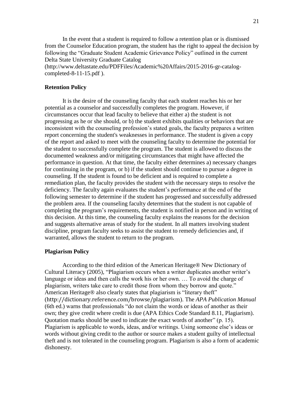In the event that a student is required to follow a retention plan or is dismissed from the Counselor Education program, the student has the right to appeal the decision by following the "Graduate Student Academic Grievance Policy" outlined in the current Delta State University Graduate Catalog (http://www.deltastate.edu/PDFFiles/Academic%20Affairs/2015-2016-gr-catalogcompleted-8-11-15.pdf ).

#### <span id="page-20-0"></span>**Retention Policy**

It is the desire of the counseling faculty that each student reaches his or her potential as a counselor and successfully completes the program. However, if circumstances occur that lead faculty to believe that either a) the student is not progressing as he or she should, or b) the student exhibits qualities or behaviors that are inconsistent with the counseling profession's stated goals, the faculty prepares a written report concerning the student's weaknesses in performance. The student is given a copy of the report and asked to meet with the counseling faculty to determine the potential for the student to successfully complete the program. The student is allowed to discuss the documented weakness and/or mitigating circumstances that might have affected the performance in question. At that time, the faculty either determines a) necessary changes for continuing in the program, or b) if the student should continue to pursue a degree in counseling. If the student is found to be deficient and is required to complete a remediation plan, the faculty provides the student with the necessary steps to resolve the deficiency. The faculty again evaluates the student's performance at the end of the following semester to determine if the student has progressed and successfully addressed the problem area. If the counseling faculty determines that the student is not capable of completing the program's requirements, the student is notified in person and in writing of this decision. At this time, the counseling faculty explains the reasons for the decision and suggests alternative areas of study for the student. In all matters involving student discipline, program faculty seeks to assist the student to remedy deficiencies and, if warranted, allows the student to return to the program.

#### <span id="page-20-1"></span>**Plagiarism Policy**

According to the third edition of the American Heritage® New Dictionary of Cultural Literacy (2005), "Plagiarism occurs when a writer duplicates another writer's language or ideas and then calls the work his or her own. … To avoid the charge of plagiarism, writers take care to credit those from whom they borrow and quote." American Heritage® also clearly states that plagiarism is "literary theft" (http://dictionary.reference.com/browse/plagiarism). The *APA Publication Manual* (6th ed.) warns that professionals "do not claim the words or ideas of another as their own; they give credit where credit is due (APA Ethics Code Standard 8.11, Plagiarism). Quotation marks should be used to indicate the exact words of another" (p. 15). Plagiarism is applicable to words, ideas, and/or writings. Using someone else's ideas or words without giving credit to the author or source makes a student guilty of intellectual theft and is not tolerated in the counseling program. Plagiarism is also a form of academic dishonesty.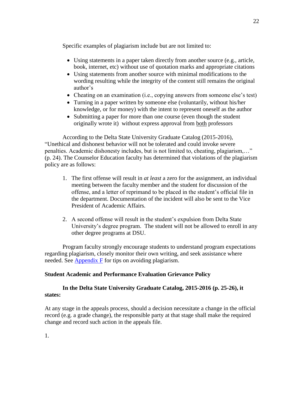Specific examples of plagiarism include but are not limited to:

- Using statements in a paper taken directly from another source (e.g., article, book, internet, etc) without use of quotation marks and appropriate citations
- Using statements from another source with minimal modifications to the wording resulting while the integrity of the content still remains the original author's
- Cheating on an examination (i.e., copying answers from someone else's test)
- Turning in a paper written by someone else (voluntarily, without his/her knowledge, or for money) with the intent to represent oneself as the author
- Submitting a paper for more than one course (even though the student originally wrote it) without express approval from both professors

According to the Delta State University Graduate Catalog (2015-2016), "Unethical and dishonest behavior will not be tolerated and could invoke severe penalties. Academic dishonesty includes, but is not limited to, cheating, plagiarism,…" (p. 24). The Counselor Education faculty has determined that violations of the plagiarism policy are as follows:

- 1. The first offense will result in *at least* a zero for the assignment, an individual meeting between the faculty member and the student for discussion of the offense, and a letter of reprimand to be placed in the student's official file in the department. Documentation of the incident will also be sent to the Vice President of Academic Affairs.
- 2. A second offense will result in the student's expulsion from Delta State University's degree program. The student will not be allowed to enroll in any other degree programs at DSU.

Program faculty strongly encourage students to understand program expectations regarding plagiarism, closely monitor their own writing, and seek assistance where needed. See [Appendix F](#page-36-0) for tips on avoiding plagiarism.

## <span id="page-21-0"></span>**Student Academic and Performance Evaluation Grievance Policy**

## **In the Delta State University Graduate Catalog, 2015-2016 (p. 25-26), it states:**

<span id="page-21-1"></span>At any stage in the appeals process, should a decision necessitate a change in the official record (e.g. a grade change), the responsible party at that stage shall make the required change and record such action in the appeals file.

1.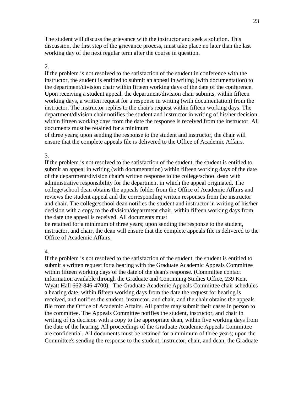The student will discuss the grievance with the instructor and seek a solution. This discussion, the first step of the grievance process, must take place no later than the last working day of the next regular term after the course in question.

### 2.

If the problem is not resolved to the satisfaction of the student in conference with the instructor, the student is entitled to submit an appeal in writing (with documentation) to the department/division chair within fifteen working days of the date of the conference. Upon receiving a student appeal, the department/division chair submits, within fifteen working days, a written request for a response in writing (with documentation) from the instructor. The instructor replies to the chair's request within fifteen working days. The department/division chair notifies the student and instructor in writing of his/her decision, within fifteen working days from the date the response is received from the instructor. All documents must be retained for a minimum

of three years; upon sending the response to the student and instructor, the chair will ensure that the complete appeals file is delivered to the Office of Academic Affairs.

### 3.

If the problem is not resolved to the satisfaction of the student, the student is entitled to submit an appeal in writing (with documentation) within fifteen working days of the date of the department/division chair's written response to the college/school dean with administrative responsibility for the department in which the appeal originated. The college/school dean obtains the appeals folder from the Office of Academic Affairs and reviews the student appeal and the corresponding written responses from the instructor and chair. The college/school dean notifies the student and instructor in writing of his/her decision with a copy to the division/department chair, within fifteen working days from the date the appeal is received. All documents must

be retained for a minimum of three years; upon sending the response to the student, instructor, and chair, the dean will ensure that the complete appeals file is delivered to the Office of Academic Affairs.

#### 4.

If the problem is not resolved to the satisfaction of the student, the student is entitled to submit a written request for a hearing with the Graduate Academic Appeals Committee within fifteen working days of the date of the dean's response. (Committee contact information available through the Graduate and Continuing Studies Office, 239 Kent Wyatt Hall 662-846-4700). The Graduate Academic Appeals Committee chair schedules a hearing date, within fifteen working days from the date the request for hearing is received, and notifies the student, instructor, and chair, and the chair obtains the appeals file from the Office of Academic Affairs. All parties may submit their cases in person to the committee. The Appeals Committee notifies the student, instructor, and chair in writing of its decision with a copy to the appropriate dean, within five working days from the date of the hearing. All proceedings of the Graduate Academic Appeals Committee are confidential. All documents must be retained for a minimum of three years; upon the Committee's sending the response to the student, instructor, chair, and dean, the Graduate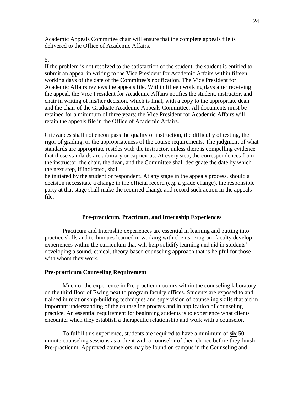Academic Appeals Committee chair will ensure that the complete appeals file is delivered to the Office of Academic Affairs.

## 5.

If the problem is not resolved to the satisfaction of the student, the student is entitled to submit an appeal in writing to the Vice President for Academic Affairs within fifteen working days of the date of the Committee's notification. The Vice President for Academic Affairs reviews the appeals file. Within fifteen working days after receiving the appeal, the Vice President for Academic Affairs notifies the student, instructor, and chair in writing of his/her decision, which is final, with a copy to the appropriate dean and the chair of the Graduate Academic Appeals Committee. All documents must be retained for a minimum of three years; the Vice President for Academic Affairs will retain the appeals file in the Office of Academic Affairs.

Grievances shall not encompass the quality of instruction, the difficulty of testing, the rigor of grading, or the appropriateness of the course requirements. The judgment of what standards are appropriate resides with the instructor, unless there is compelling evidence that those standards are arbitrary or capricious. At every step, the correspondences from the instructor, the chair, the dean, and the Committee shall designate the date by which the next step, if indicated, shall

be initiated by the student or respondent. At any stage in the appeals process, should a decision necessitate a change in the official record (e.g. a grade change), the responsible party at that stage shall make the required change and record such action in the appeals file.

### **Pre-practicum, Practicum, and Internship Experiences**

Practicum and Internship experiences are essential in learning and putting into practice skills and techniques learned in working with clients. Program faculty develop experiences within the curriculum that will help solidify learning and aid in students' developing a sound, ethical, theory-based counseling approach that is helpful for those with whom they work.

### <span id="page-23-0"></span>**Pre-practicum Counseling Requirement**

Much of the experience in Pre-practicum occurs within the counseling laboratory on the third floor of Ewing next to program faculty offices. Students are exposed to and trained in relationship-building techniques and supervision of counseling skills that aid in important understanding of the counseling process and in application of counseling practice. An essential requirement for beginning students is to experience what clients encounter when they establish a therapeutic relationship and work with a counselor.

To fulfill this experience, students are required to have a minimum of **six** 50 minute counseling sessions as a client with a counselor of their choice before they finish Pre-practicum. Approved counselors may be found on campus in the Counseling and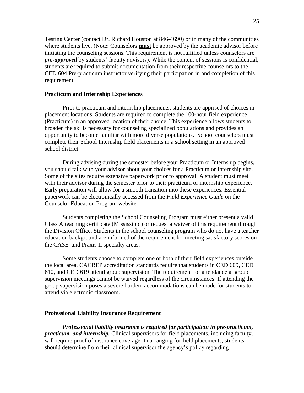Testing Center (contact Dr. Richard Houston at 846-4690) or in many of the communities where students live. (Note: Counselors **must** be approved by the academic advisor before initiating the counseling sessions. This requirement is not fulfilled unless counselors are *pre-approved* by students' faculty advisors). While the content of sessions is confidential, students are required to submit documentation from their respective counselors to the CED 604 Pre-practicum instructor verifying their participation in and completion of this requirement.

### <span id="page-24-0"></span>**Practicum and Internship Experiences**

Prior to practicum and internship placements, students are apprised of choices in placement locations. Students are required to complete the 100-hour field experience (Practicum) in an approved location of their choice. This experience allows students to broaden the skills necessary for counseling specialized populations and provides an opportunity to become familiar with more diverse populations. School counselors must complete their School Internship field placements in a school setting in an approved school district.

During advising during the semester before your Practicum or Internship begins, you should talk with your advisor about your choices for a Practicum or Internship site. Some of the sites require extensive paperwork prior to approval. A student must meet with their advisor during the semester prior to their practicum or internship experience. Early preparation will allow for a smooth transition into these experiences. Essential paperwork can be electronically accessed from the *Field Experience Guide* on the Counselor Education Program website.

Students completing the School Counseling Program must either present a valid Class A teaching certificate (Mississippi) or request a waiver of this requirement through the Division Office. Students in the school counseling program who do not have a teacher education background are informed of the requirement for meeting satisfactory scores on the CASE and Praxis II specialty areas.

Some students choose to complete one or both of their field experiences outside the local area. CACREP accreditation standards require that students in CED 609, CED 610, and CED 619 attend group supervision. The requirement for attendance at group supervision meetings cannot be waived regardless of the circumstances. If attending the group supervision poses a severe burden, accommodations can be made for students to attend via electronic classroom.

#### <span id="page-24-1"></span>**Professional Liability Insurance Requirement**

*Professional liability insurance is required for participation in pre-practicum, practicum, and internship.* Clinical supervisors for field placements, including faculty, will require proof of insurance coverage. In arranging for field placements, students should determine from their clinical supervisor the agency's policy regarding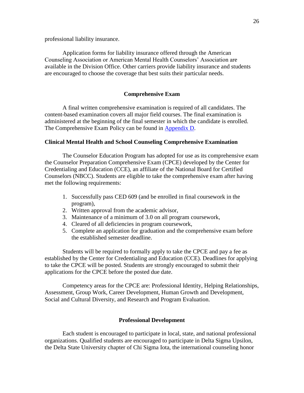professional liability insurance.

Application forms for liability insurance offered through the American Counseling Association or American Mental Health Counselors' Association are available in the Division Office. Other carriers provide liability insurance and students are encouraged to choose the coverage that best suits their particular needs.

#### **Comprehensive Exam**

<span id="page-25-0"></span>A final written comprehensive examination is required of all candidates. The content-based examination covers all major field courses. The final examination is administered at the beginning of the final semester in which the candidate is enrolled. The Comprehensive Exam Policy can be found in Appendix D.

### <span id="page-25-1"></span>**Clinical Mental Health and School Counseling Comprehensive Examination**

The Counselor Education Program has adopted for use as its comprehensive exam the Counselor Preparation Comprehensive Exam (CPCE) developed by the Center for Credentialing and Education (CCE), an affiliate of the National Board for Certified Counselors (NBCC). Students are eligible to take the comprehensive exam after having met the following requirements:

- 1. Successfully pass CED 609 (and be enrolled in final coursework in the program),
- 2. Written approval from the academic advisor,
- 3. Maintenance of a minimum of 3.0 on all program coursework,
- 4. Cleared of all deficiencies in program coursework,
- 5. Complete an application for graduation and the comprehensive exam before the established semester deadline.

Students will be required to formally apply to take the CPCE and pay a fee as established by the Center for Credentialing and Education (CCE). Deadlines for applying to take the CPCE will be posted. Students are strongly encouraged to submit their applications for the CPCE before the posted due date.

Competency areas for the CPCE are: Professional Identity, Helping Relationships, Assessment, Group Work, Career Development, Human Growth and Development, Social and Cultural Diversity, and Research and Program Evaluation.

#### **Professional Development**

<span id="page-25-2"></span>Each student is encouraged to participate in local, state, and national professional organizations. Qualified students are encouraged to participate in Delta Sigma Upsilon, the Delta State University chapter of Chi Sigma Iota, the international counseling honor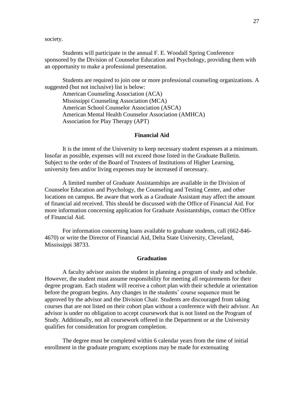society.

Students will participate in the annual F. E. Woodall Spring Conference sponsored by the Division of Counselor Education and Psychology, providing them with an opportunity to make a professional presentation.

Students are required to join one or more professional counseling organizations. A suggested (but not inclusive) list is below:

American Counseling Association (ACA) Mississippi Counseling Association (MCA) American School Counselor Association (ASCA) American Mental Health Counselor Association (AMHCA) Association for Play Therapy (APT)

#### **Financial Aid**

<span id="page-26-0"></span>It is the intent of the University to keep necessary student expenses at a minimum. Insofar as possible, expenses will not exceed those listed in the Graduate Bulletin. Subject to the order of the Board of Trustees of Institutions of Higher Learning, university fees and/or living expenses may be increased if necessary.

A limited number of Graduate Assistantships are available in the Division of Counselor Education and Psychology, the Counseling and Testing Center, and other locations on campus. Be aware that work as a Graduate Assistant may affect the amount of financial aid received. This should be discussed with the Office of Financial Aid. For more information concerning application for Graduate Assistantships, contact the Office of Financial Aid.

For information concerning loans available to graduate students, call (662-846- 4670) or write the Director of Financial Aid, Delta State University, Cleveland, Mississippi 38733.

#### **Graduation**

<span id="page-26-1"></span>A faculty advisor assists the student in planning a program of study and schedule. However, the student must assume responsibility for meeting all requirements for their degree program. Each student will receive a cohort plan with their schedule at orientation before the program begins. Any changes in the students' course sequence must be approved by the advisor and the Division Chair. Students are discouraged from taking courses that are not listed on their cohort plan without a conference with their advisor. An advisor is under no obligation to accept coursework that is not listed on the Program of Study. Additionally, not all coursework offered in the Department or at the University qualifies for consideration for program completion.

The degree must be completed within 6 calendar years from the time of initial enrollment in the graduate program; exceptions may be made for extenuating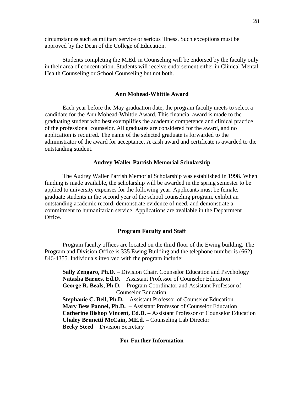circumstances such as military service or serious illness. Such exceptions must be approved by the Dean of the College of Education.

Students completing the M.Ed. in Counseling will be endorsed by the faculty only in their area of concentration. Students will receive endorsement either in Clinical Mental Health Counseling or School Counseling but not both.

#### **Ann Mohead-Whittle Award**

<span id="page-27-0"></span>Each year before the May graduation date, the program faculty meets to select a candidate for the Ann Mohead-Whittle Award. This financial award is made to the graduating student who best exemplifies the academic competence and clinical practice of the professional counselor. All graduates are considered for the award, and no application is required. The name of the selected graduate is forwarded to the administrator of the award for acceptance. A cash award and certificate is awarded to the outstanding student.

#### **Audrey Waller Parrish Memorial Scholarship**

<span id="page-27-1"></span>The Audrey Waller Parrish Memorial Scholarship was established in 1998. When funding is made available, the scholarship will be awarded in the spring semester to be applied to university expenses for the following year. Applicants must be female, graduate students in the second year of the school counseling program, exhibit an outstanding academic record, demonstrate evidence of need, and demonstrate a commitment to humanitarian service. Applications are available in the Department Office.

#### **Program Faculty and Staff**

<span id="page-27-2"></span>Program faculty offices are located on the third floor of the Ewing building. The Program and Division Office is 335 Ewing Building and the telephone number is (662) 846-4355. Individuals involved with the program include:

<span id="page-27-3"></span>**Sally Zengaro, Ph.D.** – Division Chair, Counselor Education and Psychology **Natasha Barnes, Ed.D.** – Assistant Professor of Counselor Education **George R. Beals, Ph.D.** – Program Coordinator and Assistant Professor of Counselor Education **Stephanie C. Bell, Ph.D.** – Assistant Professor of Counselor Education **Mary Bess Pannel, Ph.D.** – Assistant Professor of Counselor Education **Catherine Bishop Vincent, Ed.D.** – Assistant Professor of Counselor Education **Chaley Brunetti McCain, ME.d. –** Counseling Lab Director **Becky Steed** – Division Secretary

#### **For Further Information**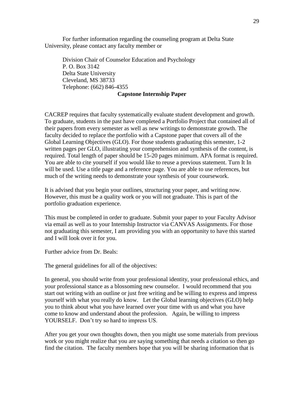For further information regarding the counseling program at Delta State University, please contact any faculty member or

Division Chair of Counselor Education and Psychology P. O. Box 3142 Delta State University Cleveland, MS 38733 Telephone: (662) 846-4355

## **Capstone Internship Paper**

CACREP requires that faculty systematically evaluate student development and growth. To graduate, students in the past have completed a Portfolio Project that contained all of their papers from every semester as well as new writings to demonstrate growth. The faculty decided to replace the portfolio with a Capstone paper that covers all of the Global Learning Objectives (GLO). For those students graduating this semester, 1-2 written pages per GLO, illustrating your comprehension and synthesis of the content, is required. Total length of paper should be 15-20 pages minimum. APA format is required. You are able to cite yourself if you would like to reuse a previous statement. Turn It In will be used. Use a title page and a reference page. You are able to use references, but much of the writing needs to demonstrate your synthesis of your coursework.

It is advised that you begin your outlines, structuring your paper, and writing now. However, this must be a quality work or you will not graduate. This is part of the portfolio graduation experience.

This must be completed in order to graduate. Submit your paper to your Faculty Advisor via email as well as to your Internship Instructor via CANVAS Assignments. For those not graduating this semester, I am providing you with an opportunity to have this started and I will look over it for you.

Further advice from Dr. Beals:

The general guidelines for all of the objectives:

In general, you should write from your professional identity, your professional ethics, and your professional stance as a blossoming new counselor. I would recommend that you start out writing with an outline or just free writing and be willing to express and impress yourself with what you really do know. Let the Global learning objectives (GLO) help you to think about what you have learned over your time with us and what you have come to know and understand about the profession. Again, be willing to impress YOURSELF. Don't try so hard to impress US.

After you get your own thoughts down, then you might use some materials from previous work or you might realize that you are saying something that needs a citation so then go find the citation. The faculty members hope that you will be sharing information that is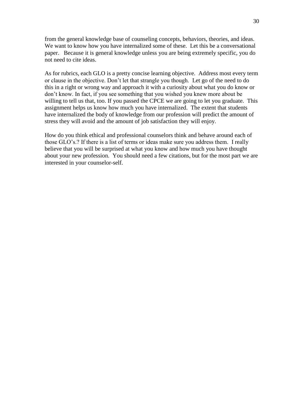from the general knowledge base of counseling concepts, behaviors, theories, and ideas. We want to know how you have internalized some of these. Let this be a conversational paper. Because it is general knowledge unless you are being extremely specific, you do not need to cite ideas.

As for rubrics, each GLO is a pretty concise learning objective. Address most every term or clause in the objective. Don't let that strangle you though. Let go of the need to do this in a right or wrong way and approach it with a curiosity about what you do know or don't know. In fact, if you see something that you wished you knew more about be willing to tell us that, too. If you passed the CPCE we are going to let you graduate. This assignment helps us know how much you have internalized. The extent that students have internalized the body of knowledge from our profession will predict the amount of stress they will avoid and the amount of job satisfaction they will enjoy.

How do you think ethical and professional counselors think and behave around each of those GLO's.? If there is a list of terms or ideas make sure you address them. I really believe that you will be surprised at what you know and how much you have thought about your new profession. You should need a few citations, but for the most part we are interested in your counselor-self.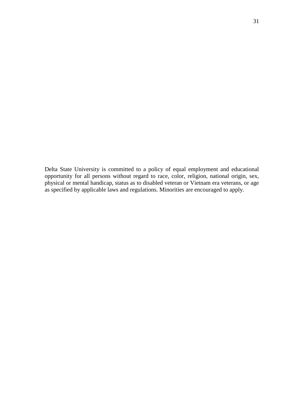<span id="page-30-0"></span>Delta State University is committed to a policy of equal employment and educational opportunity for all persons without regard to race, color, religion, national origin, sex, physical or mental handicap, status as to disabled veteran or Vietnam era veterans, or age as specified by applicable laws and regulations. Minorities are encouraged to apply.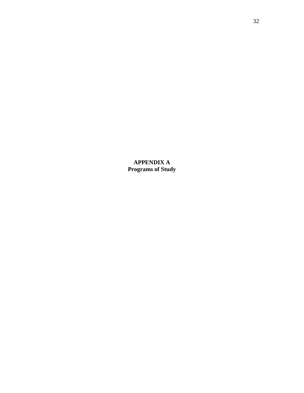<span id="page-31-0"></span>**APPENDIX A Programs of Study**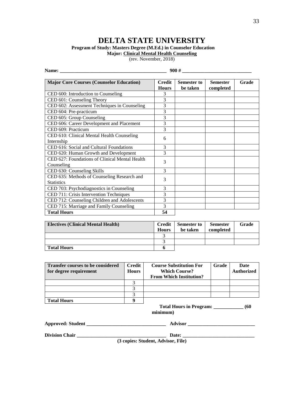# **DELTA STATE UNIVERSITY**

#### <span id="page-32-0"></span>**Program of Study: Masters Degree (M.Ed.) in Counselor Education**

**Major: Clinical Mental Health Counseling**

(rev. November, 2018)

| Name:                                                            | 900#                   |                                |                              |       |  |
|------------------------------------------------------------------|------------------------|--------------------------------|------------------------------|-------|--|
| <b>Major Core Courses (Counselor Education)</b>                  | Credit<br><b>Hours</b> | <b>Semester to</b><br>be taken | <b>Semester</b><br>completed | Grade |  |
| CED 600: Introduction to Counseling                              | 3                      |                                |                              |       |  |
| CED 601: Counseling Theory                                       | 3                      |                                |                              |       |  |
| CED 602: Assessment Techniques in Counseling                     | 3                      |                                |                              |       |  |
| CED 604: Pre-practicum                                           | 3                      |                                |                              |       |  |
| CED 605: Group Counseling                                        | 3                      |                                |                              |       |  |
| CED 606: Career Development and Placement                        | $\overline{3}$         |                                |                              |       |  |
| CED 609: Practicum                                               | 3                      |                                |                              |       |  |
| CED 610: Clinical Mental Health Counseling<br>Internship         | 6                      |                                |                              |       |  |
| CED 616: Social and Cultural Foundations                         | 3                      |                                |                              |       |  |
| CED 620: Human Growth and Development                            | 3                      |                                |                              |       |  |
| CED 627: Foundations of Clinical Mental Health<br>Counseling     | 3                      |                                |                              |       |  |
| CED 630: Counseling Skills                                       | 3                      |                                |                              |       |  |
| CED 635: Methods of Counseling Research and<br><b>Statistics</b> | 3                      |                                |                              |       |  |
| CED 703: Psychodiagnostics in Counseling                         | 3                      |                                |                              |       |  |
| CED 711: Crisis Intervention Techniques                          | 3                      |                                |                              |       |  |
| CED 712: Counseling Children and Adolescents                     | 3                      |                                |                              |       |  |
| CED 715: Marriage and Family Counseling                          | 3                      |                                |                              |       |  |
| <b>Total Hours</b>                                               | 54                     |                                |                              |       |  |

| <b>Electives (Clinical Mental Health)</b> | <b>Credit</b><br><b>Hours</b> | <b>Semester to</b><br>be taken | <b>Semester</b><br>completed | Grade |
|-------------------------------------------|-------------------------------|--------------------------------|------------------------------|-------|
|                                           |                               |                                |                              |       |
|                                           |                               |                                |                              |       |
| <b>Total Hours</b>                        |                               |                                |                              |       |

| <b>Transfer courses to be considered</b><br>for degree requirement | Credit<br><b>Hours</b> | <b>Course Substitution For</b><br><b>Which Course?</b> | Grade | <b>Date</b><br><b>Authorized</b> |
|--------------------------------------------------------------------|------------------------|--------------------------------------------------------|-------|----------------------------------|
|                                                                    |                        | <b>From Which Institution?</b>                         |       |                                  |
|                                                                    |                        |                                                        |       |                                  |
|                                                                    |                        |                                                        |       |                                  |
|                                                                    |                        |                                                        |       |                                  |
| <b>Total Hours</b>                                                 |                        |                                                        |       |                                  |

 **Total Hours in Program: \_\_\_\_\_\_\_\_\_\_\_\_ (60 minimum)**

| <b>Approved: Student</b> |  |  |
|--------------------------|--|--|
|                          |  |  |

**Division Chair \_\_\_\_\_\_\_\_\_\_\_\_\_\_\_\_\_\_\_\_\_\_\_\_\_\_\_\_\_\_\_\_\_\_\_\_ Date: \_\_\_\_\_\_\_\_\_\_\_\_\_\_\_\_\_\_\_\_\_\_\_\_\_\_\_\_\_**

**(3 copies: Student, Advisor, File)**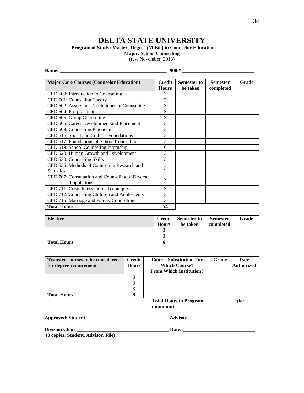# **DELTA STATE UNIVERSITY**

34

<span id="page-33-0"></span>**Program of Study: Masters Degree (M.Ed.) in Counselor Education** 

**Major: School Counseling**

(rev. November, 2018)

|                                                                  | $900 \#$                      |                                |                              |       |  |
|------------------------------------------------------------------|-------------------------------|--------------------------------|------------------------------|-------|--|
| <b>Major Core Courses (Counselor Education)</b>                  | <b>Credit</b><br><b>Hours</b> | <b>Semester to</b><br>be taken | <b>Semester</b><br>completed | Grade |  |
| CED 600: Introduction to Counseling                              | 3                             |                                |                              |       |  |
| CED 601: Counseling Theory                                       | 3                             |                                |                              |       |  |
| CED 602: Assessment Techniques in Counseling                     | 3                             |                                |                              |       |  |
| CED 604: Pre-practicum                                           | 3                             |                                |                              |       |  |
| CED 605: Group Counseling                                        | 3                             |                                |                              |       |  |
| CED 606: Career Development and Placement                        | 3                             |                                |                              |       |  |
| CED 609: Counseling Practicum                                    | 3                             |                                |                              |       |  |
| CED 616: Social and Cultural Foundations                         | 3                             |                                |                              |       |  |
| CED 617: Foundations of School Counseling                        | 3                             |                                |                              |       |  |
| CED 619: School Counseling Internship                            | 6                             |                                |                              |       |  |
| CED 620: Human Growth and Development                            | 3                             |                                |                              |       |  |
| CED 630: Counseling Skills                                       | 3                             |                                |                              |       |  |
| CED 635: Methods of Counseling Research and<br><b>Statistics</b> | 3                             |                                |                              |       |  |
| CED 707: Consultation and Counseling of Diverse<br>Populations   | 3                             |                                |                              |       |  |
| CED 711: Crisis Intervention Techniques                          | 3                             |                                |                              |       |  |
| CED 712: Counseling Children and Adolescents                     | 3                             |                                |                              |       |  |
| CED 715: Marriage and Family Counseling                          | 3                             |                                |                              |       |  |
| <b>Total Hours</b>                                               | 54                            |                                |                              |       |  |

| <b>Elective</b>    | <b>Credit</b><br><b>Hours</b> | <b>Semester to</b><br>be taken | <b>Semester</b><br>completed | Grade |
|--------------------|-------------------------------|--------------------------------|------------------------------|-------|
|                    |                               |                                |                              |       |
|                    | ⌒                             |                                |                              |       |
| <b>Total Hours</b> |                               |                                |                              |       |

| <b>Transfer courses to be considered</b><br>for degree requirement | Credit<br><b>Hours</b> | <b>Course Substitution For</b><br><b>Which Course?</b><br><b>From Which Institution?</b> | Grade | <b>Date</b><br><b>Authorized</b> |
|--------------------------------------------------------------------|------------------------|------------------------------------------------------------------------------------------|-------|----------------------------------|
|                                                                    |                        |                                                                                          |       |                                  |
|                                                                    |                        |                                                                                          |       |                                  |
|                                                                    |                        |                                                                                          |       |                                  |
| <b>Total Hours</b>                                                 |                        |                                                                                          |       |                                  |

**Total Hours in Program: \_\_\_\_\_\_\_\_\_\_\_\_ (60 minimum)**

| <b>Approved: Student</b> | <b>Advisor</b>    |
|--------------------------|-------------------|
|                          |                   |
| <b>Division Chair</b>    | Date <sup>-</sup> |

**(3 copies: Student, Advisor, File)**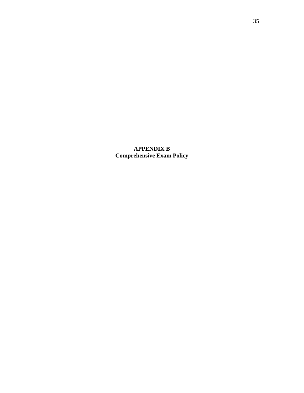**APPENDIX B Comprehensive Exam Policy**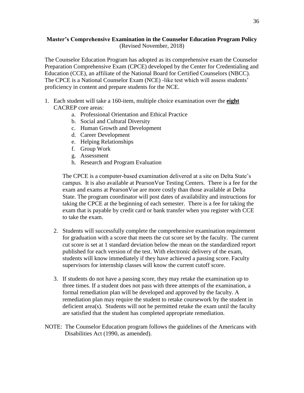## **Master's Comprehensive Examination in the Counselor Education Program Policy** (Revised November, 2018)

The Counselor Education Program has adopted as its comprehensive exam the Counselor Preparation Comprehensive Exam (CPCE) developed by the Center for Credentialing and Education (CCE), an affiliate of the National Board for Certified Counselors (NBCC). The CPCE is a National Counselor Exam (NCE) -like test which will assess students' proficiency in content and prepare students for the NCE.

- 1. Each student will take a 160-item, multiple choice examination over the **eight** CACREP core areas:
	- a. Professional Orientation and Ethical Practice
	- b. Social and Cultural Diversity
	- c. Human Growth and Development
	- d. Career Development
	- e. Helping Relationships
	- f. Group Work
	- g. Assessment
	- h. Research and Program Evaluation

The CPCE is a computer-based examination delivered at a site on Delta State's campus. It is also available at PearsonVue Testing Centers. There is a fee for the exam and exams at PearsonVue are more costly than those available at Delta State. The program coordinator will post dates of availability and instructions for taking the CPCE at the beginning of each semester. There is a fee for taking the exam that is payable by credit card or bank transfer when you register with CCE to take the exam.

- 2. Students will successfully complete the comprehensive examination requirement for graduation with a score that meets the cut score set by the faculty. The current cut score is set at 1 standard deviation below the mean on the standardized report published for each version of the test. With electronic delivery of the exam, students will know immediately if they have achieved a passing score. Faculty supervisors for internship classes will know the current cutoff score.
- 3. If students do not have a passing score, they may retake the examination up to three times. If a student does not pass with three attempts of the examination, a formal remediation plan will be developed and approved by the faculty. A remediation plan may require the student to retake coursework by the student in deficient area(s). Students will not be permitted retake the exam until the faculty are satisfied that the student has completed appropriate remediation.
- NOTE: The Counselor Education program follows the guidelines of the Americans with Disabilities Act (1990, as amended).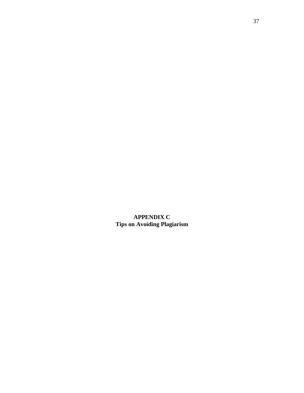<span id="page-36-0"></span>**APPENDIX C Tips on Avoiding Plagiarism**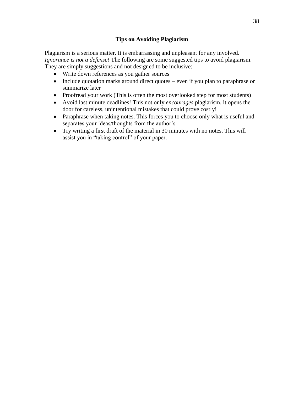## **Tips on Avoiding Plagiarism**

Plagiarism is a serious matter. It is embarrassing and unpleasant for any involved. *Ignorance is not a defense!* The following are some suggested tips to avoid plagiarism. They are simply suggestions and not designed to be inclusive:

- Write down references as you gather sources
- Include quotation marks around direct quotes even if you plan to paraphrase or summarize later
- Proofread your work (This is often the most overlooked step for most students)
- Avoid last minute deadlines! This not only *encourages* plagiarism, it opens the door for careless, unintentional mistakes that could prove costly!
- Paraphrase when taking notes. This forces you to choose only what is useful and separates your ideas/thoughts from the author's.
- Try writing a first draft of the material in 30 minutes with no notes. This will assist you in "taking control" of your paper.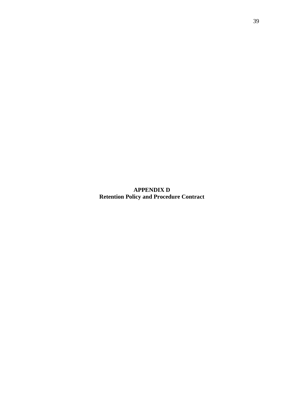<span id="page-38-0"></span>**APPENDIX D Retention Policy and Procedure Contract**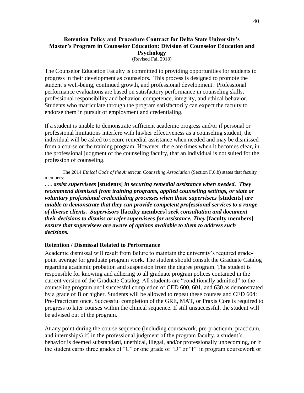## **Retention Policy and Procedure Contract for Delta State University's Master's Program in Counselor Education: Division of Counselor Education and Psychology**

(Revised Fall 2018)

The Counselor Education Faculty is committed to providing opportunities for students to progress in their development as counselors. This process is designed to promote the student's well-being, continued growth, and professional development. Professional performance evaluations are based on satisfactory performance in counseling skills, professional responsibility and behavior, competence, integrity, and ethical behavior. Students who matriculate through the program satisfactorily can expect the faculty to endorse them in pursuit of employment and credentialing.

If a student is unable to demonstrate sufficient academic progress and/or if personal or professional limitations interfere with his/her effectiveness as a counseling student, the individual will be asked to secure remedial assistance when needed and may be dismissed from a course or the training program. However, there are times when it becomes clear, in the professional judgment of the counseling faculty, that an individual is not suited for the profession of counseling.

The 2014 *Ethical Code of the American Counseling Association* (Section F.6.b) states that faculty members:

*. . . assist supervisees* **[students]** *in securing remedial assistance when needed. They recommend dismissal from training programs, applied counseling settings, or state or voluntary professional credentialing processes when those supervisees* **[students]** *are unable to demonstrate that they can provide competent professional services to a range of diverse clients. Supervisors* **[faculty members]** *seek consultation and document their decisions to dismiss or refer supervisees for assistance. They* **[faculty members]** *ensure that supervisees are aware of options available to them to address such decisions.*

### **Retention / Dismissal Related to Performance**

Academic dismissal will result from failure to maintain the university's required gradepoint average for graduate program work. The student should consult the Graduate Catalog regarding academic probation and suspension from the degree program. The student is responsible for knowing and adhering to all graduate program polices contained in the current version of the Graduate Catalog. All students are "conditionally admitted" to the counseling program until successful completion of CED 600, 601, and 630 as demonstrated by a grade of B or higher. Students will be allowed to repeat these courses and CED 604: Pre-Practicum once. Successful completion of the GRE, MAT, or Praxis Core is required to progress to later courses within the clinical sequence. If still unsuccessful, the student will be advised out of the program.

At any point during the course sequence (including coursework, pre-practicum, practicum, and internships) if, in the professional judgment of the program faculty, a student's behavior is deemed substandard, unethical, illegal, and/or professionally unbecoming, or if the student earns three grades of "C" or one grade of "D" or "F" in program coursework or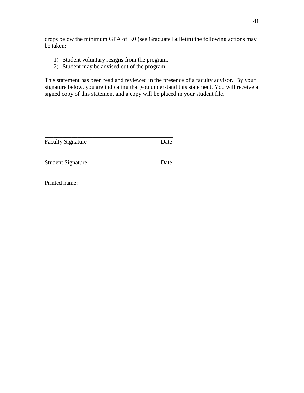drops below the minimum GPA of 3.0 (see Graduate Bulletin) the following actions may be taken:

- 1) Student voluntary resigns from the program.
- 2) Student may be advised out of the program.

This statement has been read and reviewed in the presence of a faculty advisor. By your signature below, you are indicating that you understand this statement. You will receive a signed copy of this statement and a copy will be placed in your student file.

<span id="page-40-0"></span>

| <b>Faculty Signature</b> | Date |
|--------------------------|------|
| <b>Student Signature</b> | Date |
| Printed name:            |      |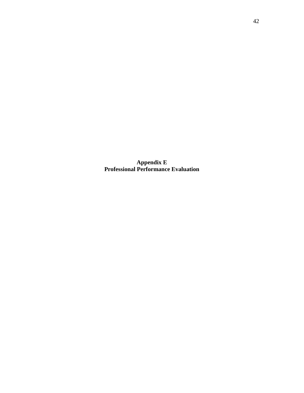**Appendix E Professional Performance Evaluation**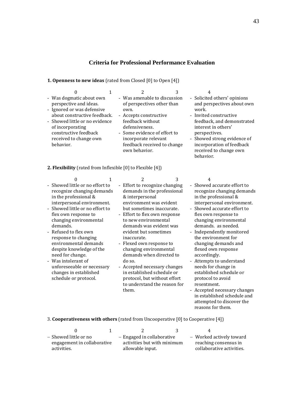## **Criteria for Professional Performance Evaluation**

## **1. Openness to new ideas** (rated from Closed [0] to Open [4])

| 0                                                                                                                                                                                                                                      |                                                                                                                                                                                                                                            |                                                                                                                                                                                                                                                           |
|----------------------------------------------------------------------------------------------------------------------------------------------------------------------------------------------------------------------------------------|--------------------------------------------------------------------------------------------------------------------------------------------------------------------------------------------------------------------------------------------|-----------------------------------------------------------------------------------------------------------------------------------------------------------------------------------------------------------------------------------------------------------|
| - Was dogmatic about own<br>perspective and ideas.<br>- Ignored or was defensive<br>about constructive feedback.<br>- Showed little or no evidence<br>of incorporating<br>constructive feedback<br>received to change own<br>behavior. | - Was amenable to discussion<br>of perspectives other than<br>own.<br>- Accepts constructive<br>feedback without<br>defensiveness.<br>- Some evidence of effort to<br>incorporate relevant<br>feedback received to change<br>own behavior. | - Solicited others' opinions<br>and perspectives about own<br>work.<br>- Invited constructive<br>feedback, and demonstrated<br>interest in others'<br>perspectives.<br>- Showed strong evidence of<br>incorporation of feedback<br>received to change own |
|                                                                                                                                                                                                                                        |                                                                                                                                                                                                                                            |                                                                                                                                                                                                                                                           |

behavior.

reasons for them.

#### **2. Flexibility** (rated from Inflexible [0] to Flexible [4])

| 0                                                                                                                                                                                                                                                                                                                                                                                                                                                   | 1 | 2                                                                                                                                                                                                                                                                                                                                                                                                                                                                                                       | 3 | 4                                                                                                                                                                                                                                                                                                                                                                                                                                                                                                                                          |
|-----------------------------------------------------------------------------------------------------------------------------------------------------------------------------------------------------------------------------------------------------------------------------------------------------------------------------------------------------------------------------------------------------------------------------------------------------|---|---------------------------------------------------------------------------------------------------------------------------------------------------------------------------------------------------------------------------------------------------------------------------------------------------------------------------------------------------------------------------------------------------------------------------------------------------------------------------------------------------------|---|--------------------------------------------------------------------------------------------------------------------------------------------------------------------------------------------------------------------------------------------------------------------------------------------------------------------------------------------------------------------------------------------------------------------------------------------------------------------------------------------------------------------------------------------|
| - Showed little or no effort to<br>recognize changing demands<br>in the professional &<br>interpersonal environment.<br>Showed little or no effort to<br>flex own response to<br>changing environmental<br>demands.<br>Refused to flex own<br>response to changing<br>environmental demands<br>despite knowledge of the<br>need for change.<br>- Was intolerant of<br>unforeseeable or necessary<br>changes in established<br>schedule or protocol. |   | - Effort to recognize changing<br>demands in the professional<br>& interpersonal<br>environment was evident<br>but sometimes inaccurate.<br>- Effort to flex own response<br>to new environmental<br>demands was evident was<br>evident but sometimes<br>inaccurate.<br>- Flexed own response to<br>changing environmental<br>demands when directed to<br>do so.<br>- Accepted necessary changes<br>in established schedule or<br>protocol, but without effort<br>to understand the reason for<br>them. |   | Showed accurate effort to<br>$\blacksquare$<br>recognize changing demands<br>in the professional &<br>interpersonal environment.<br>- Showed accurate effort to<br>flex own response to<br>changing environmental<br>demands, as needed.<br>Independently monitored<br>the environment for<br>changing demands and<br>flexed own response<br>accordingly.<br>- Attempts to understand<br>needs for change in<br>established schedule or<br>protocol to avoid<br>resentment.<br>- Accepted necessary changes<br>in established schedule and |
|                                                                                                                                                                                                                                                                                                                                                                                                                                                     |   |                                                                                                                                                                                                                                                                                                                                                                                                                                                                                                         |   | attempted to discover the                                                                                                                                                                                                                                                                                                                                                                                                                                                                                                                  |

#### 3. **Cooperativeness with others** (rated from Uncooperative [0] to Cooperative [4])

|                             | 2.                          | ્ર | 4                         |
|-----------------------------|-----------------------------|----|---------------------------|
| – Showed little or no       | - Engaged in collaborative  |    | - Worked actively toward  |
| engagement in collaborative | activities but with minimum |    | reaching consensus in     |
| activities.                 | allowable input.            |    | collaborative activities. |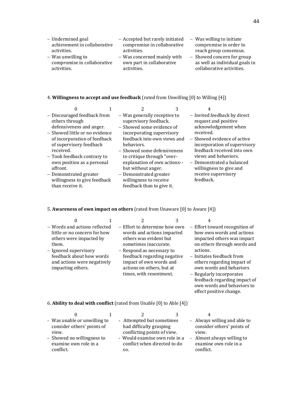- compromise in order to reach group consensus.
- Showed concern for group as well as individual goals in collaborative activities.

own words and behaviors to effect positive change.

#### 4. **Willingness to accept and use feedback** (rated from Unwilling [0] to Willing [4])

|                                            | 0                                                                                                                                                                                   |                                                                                                                                                                                                                           | 3 | 4                                                                                                                                                                                                              |
|--------------------------------------------|-------------------------------------------------------------------------------------------------------------------------------------------------------------------------------------|---------------------------------------------------------------------------------------------------------------------------------------------------------------------------------------------------------------------------|---|----------------------------------------------------------------------------------------------------------------------------------------------------------------------------------------------------------------|
| others through<br>received.                | - Discouraged feedback from<br>defensiveness and anger.<br>- Showed little or no evidence<br>of incorporation of feedback<br>of supervisory feedback<br>- Took feedback contrary to | - Was generally receptive to<br>supervisory feedback.<br>- Showed some evidence of<br>incorporating supervisory<br>feedback into own views and<br>behaviors.<br>- Showed some defensiveness<br>to critique through "over- |   | - Invited feedback by direct<br>request and positive<br>acknowledgement when<br>received.<br>- Showed evidence of active<br>incorporation of supervisory<br>feedback received into own<br>views and behaviors. |
| affront.                                   | own position as a personal                                                                                                                                                          | explanation of own actions--<br>but without anger.                                                                                                                                                                        |   | - Demonstrated a balanced<br>willingness to give and                                                                                                                                                           |
| - Demonstrated greater<br>than receive it. | willingness to give feedback                                                                                                                                                        | - Demonstrated greater<br>willingness to receive<br>feedback than to give it.                                                                                                                                             |   | receive supervisory<br>feedback.                                                                                                                                                                               |

#### 5. **Awareness of own impact on others** (rated from Unaware [0] to Aware [4])

| - Words and actions reflected<br>little or no concern for how<br>others were impacted by<br>them.     | - Effort to determine how own<br>words and actions impacted<br>others was evident but<br>sometimes inaccurate.                              | - Effort toward recognition of<br>how own words and actions<br>impacted others was impact<br>on others through words and                                   |
|-------------------------------------------------------------------------------------------------------|---------------------------------------------------------------------------------------------------------------------------------------------|------------------------------------------------------------------------------------------------------------------------------------------------------------|
| - Ignored supervisory<br>feedback about how words<br>and actions were negatively<br>impacting others. | - Respond as necessary to<br>feedback regarding negative<br>impact of own words and<br>actions on others, but at<br>times, with resentment. | actions.<br>- Initiates feedback from<br>others regarding impact of<br>own words and behaviors<br>- Regularly incorporates<br>feedback regarding impact of |

6. **Ability to deal with conflict** (rated from Unable [0] to Able [4])

| - Was unable or unwilling to<br>consider others' points of<br>view.<br>- Showed no willingness to<br>examine own role in a<br>conflict. | - Attempted but sometimes<br>had difficulty grasping<br>conflicting points of view.<br>- Would examine own role in a<br>conflict when directed to do<br>SO. |  | - Always willing and able to<br>consider others' points of<br>view.<br>- Almost always willing to<br>examine own role in a<br>conflict. |
|-----------------------------------------------------------------------------------------------------------------------------------------|-------------------------------------------------------------------------------------------------------------------------------------------------------------|--|-----------------------------------------------------------------------------------------------------------------------------------------|
|                                                                                                                                         |                                                                                                                                                             |  |                                                                                                                                         |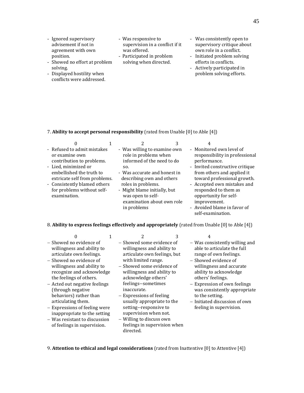- Ignored supervisory advisement if not in agreement with own position.
- Showed no effort at problem solving.
- Displayed hostility when conflicts were addressed.
- Was responsive to supervision in a conflict if it was offered. - Participated in problem
	- solving when directed.
- Was consistently open to supervisory critique about own role in a conflict.
- Initiated problem solving efforts in conflicts.
- Actively participated in problem solving efforts.

#### 7. **Ability to accept personal responsibility** (rated from Unable [0] to Able [4])

| - Refused to admit mistakes<br>- Monitored own level of<br>- Was willing to examine own<br>role in problems when<br>responsibility in professional<br>or examine own<br>informed of the need to do<br>contribution to problems.<br>performance.<br>- Lied, minimized or<br>- Invited constructive critique<br>SO.<br>embellished the truth to<br>from others and applied it<br>- Was accurate and honest in<br>toward professional growth.<br>extricate self from problems.<br>describing own and others<br>- Accepted own mistakes and<br>- Consistently blamed others<br>roles in problems.<br>for problems without self-<br>responded to them as<br>- Might blame initially, but<br>opportunity for self-<br>examination.<br>was open to self- |  | 3 | 4 |  |
|---------------------------------------------------------------------------------------------------------------------------------------------------------------------------------------------------------------------------------------------------------------------------------------------------------------------------------------------------------------------------------------------------------------------------------------------------------------------------------------------------------------------------------------------------------------------------------------------------------------------------------------------------------------------------------------------------------------------------------------------------|--|---|---|--|
| examination about own role<br>improvement.<br>- Avoided blame in favor of<br>in problems                                                                                                                                                                                                                                                                                                                                                                                                                                                                                                                                                                                                                                                          |  |   |   |  |

#### 8. **Ability to express feelings effectively and appropriately** (rated from Unable [0] to Able [4])

- $0 \t 1 \t 2 \t 3 \t 4$ - Showed no evidence of willingness and ability to articulate own feelings.
- Showed no evidence of willingness and ability to recognize and acknowledge the feelings of others.
- Acted out negative feelings (through negative behaviors) rather than articulating them.
- Expressions of feeling were inappropriate to the setting
- Was resistant to discussion of feelings in supervision.
- Showed some evidence of willingness and ability to articulate own feelings, but with limited range.
- Showed some evidence of willingness and ability to acknowledge others' feelings--sometimes inaccurate.
- Expressions of feeling usually appropriate to the setting--responsive to supervision when not.
- Willing to discuss own feelings in supervision when directed.

self-examination.

- Was consistently willing and able to articulate the full range of own feelings.
- Showed evidence of willingness and accurate ability to acknowledge others' feelings.
- Expression of own feelings was consistently appropriate to the setting.
- Initiated discussion of own feeling in supervision.

9. **Attention to ethical and legal considerations** (rated from Inattentive [0] to Attentive [4])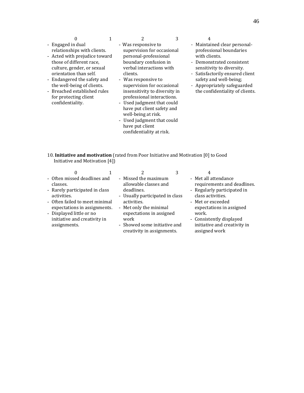- culture, gender, or sexual orientation than self.
- Endangered the safety and the well-being of clients.
- Breached established rules for protecting client confidentiality.

- Was responsive to supervision for occasional personal-professional boundary confusion in verbal interactions with clients.

- Was responsive to supervision for occasional insensitivity to diversity in professional interactions.
- Used judgment that could have put client safety and well-being at risk.
- Used judgment that could have put client confidentiality at risk.

- Maintained clear personalprofessional boundaries with clients.
- Demonstrated consistent sensitivity to diversity.
- Satisfactorily ensured client safety and well-being;
- Appropriately safeguarded the confidentiality of clients.

10. **Initiative and motivation** (rated from Poor Initiative and Motivation [0] to Good Initiative and Motivation [4])

|                                                                                                                                                                                                                                         |                                                                                                                                                                                                                                           | 4                                                                                                                                                                                                                                              |
|-----------------------------------------------------------------------------------------------------------------------------------------------------------------------------------------------------------------------------------------|-------------------------------------------------------------------------------------------------------------------------------------------------------------------------------------------------------------------------------------------|------------------------------------------------------------------------------------------------------------------------------------------------------------------------------------------------------------------------------------------------|
| - Often missed deadlines and<br>classes.<br>- Rarely participated in class<br>activities.<br>- Often failed to meet minimal<br>expectations in assignments.<br>- Displayed little or no<br>initiative and creativity in<br>assignments. | - Missed the maximum<br>allowable classes and<br>deadlines.<br>- Usually participated in class<br>activities.<br>- Met only the minimal<br>expectations in assigned<br>work<br>- Showed some initiative and<br>creativity in assignments. | - Met all attendance<br>requirements and deadlines.<br>- Regularly participated in<br>class activities.<br>- Met or exceeded<br>expectations in assigned<br>work.<br>- Consistently displayed<br>initiative and creativity in<br>assigned work |
|                                                                                                                                                                                                                                         |                                                                                                                                                                                                                                           |                                                                                                                                                                                                                                                |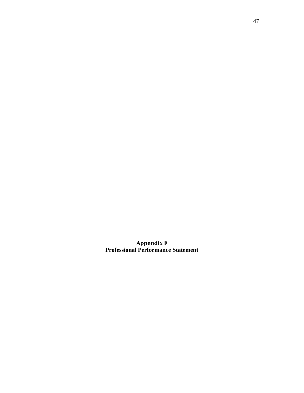**Appendix F Professional Performance Statement**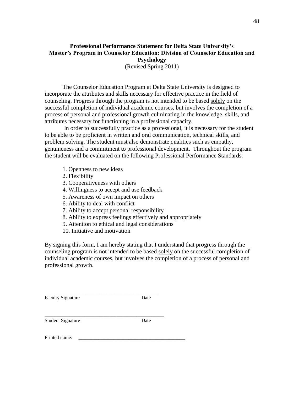## **Professional Performance Statement for Delta State University's Master's Program in Counselor Education: Division of Counselor Education and Psychology** (Revised Spring 2011)

The Counselor Education Program at Delta State University is designed to incorporate the attributes and skills necessary for effective practice in the field of counseling. Progress through the program is not intended to be based solely on the successful completion of individual academic courses, but involves the completion of a process of personal and professional growth culminating in the knowledge, skills, and attributes necessary for functioning in a professional capacity.

In order to successfully practice as a professional, it is necessary for the student to be able to be proficient in written and oral communication, technical skills, and problem solving. The student must also demonstrate qualities such as empathy, genuineness and a commitment to professional development. Throughout the program the student will be evaluated on the following Professional Performance Standards:

- 1. Openness to new ideas
- 2. Flexibility
- 3. Cooperativeness with others
- 4. Willingness to accept and use feedback
- 5. Awareness of own impact on others
- 6. Ability to deal with conflict
- 7. Ability to accept personal responsibility
- 8. Ability to express feelings effectively and appropriately
- 9. Attention to ethical and legal considerations
- 10. Initiative and motivation

\_\_\_\_\_\_\_\_\_\_\_\_\_\_\_\_\_\_\_\_\_\_\_\_\_\_\_\_\_\_\_\_\_\_\_\_\_\_\_\_\_\_\_\_\_\_

\_\_\_\_\_\_\_\_\_\_\_\_\_\_\_\_\_\_\_\_\_\_\_\_\_\_\_\_\_\_\_\_\_\_\_\_\_\_\_\_\_\_\_\_\_\_\_\_

By signing this form, I am hereby stating that I understand that progress through the counseling program is not intended to be based solely on the successful completion of individual academic courses, but involves the completion of a process of personal and professional growth.

Faculty Signature Date

Student Signature Date

Printed name: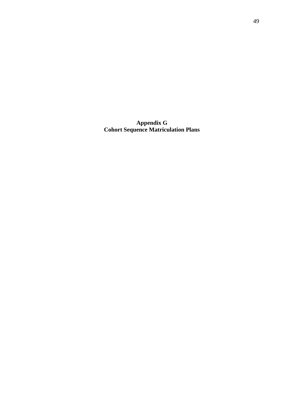**Appendix G Cohort Sequence Matriculation Plans**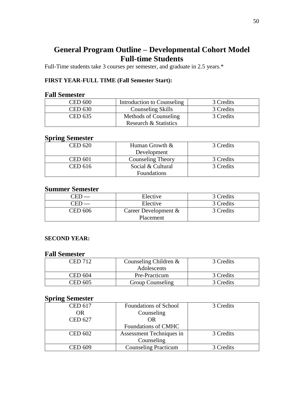# **General Program Outline – Developmental Cohort Model Full-time Students**

Full-Time students take 3 courses per semester, and graduate in 2.5 years.\*

## **FIRST YEAR-FULL TIME (Fall Semester Start):**

## **Fall Semester**

| <b>CED 600</b> | Introduction to Counseling       | 3 Credits |
|----------------|----------------------------------|-----------|
| CED 630        | <b>Counseling Skills</b>         | 3 Credits |
| <b>CED 635</b> | Methods of Counseling            | 3 Credits |
|                | <b>Research &amp; Statistics</b> |           |

# **Spring Semester**

| <b>CED 620</b> | Human Growth &           | 3 Credits |
|----------------|--------------------------|-----------|
|                | Development              |           |
| <b>CED 601</b> | <b>Counseling Theory</b> | 3 Credits |
| <b>CED 616</b> | Social & Cultural        | 3 Credits |
|                | <b>Foundations</b>       |           |

## **Summer Semester**

| . FF    | Elective                | 3 Credits |
|---------|-------------------------|-----------|
| CED     | Elective                | 3 Credits |
| CED 606 | Career Development $\&$ | 3 Credits |
|         | Placement               |           |

## **SECOND YEAR:**

## **Fall Semester**

| CED 712        | Counseling Children $\&$ | 3 Credits |
|----------------|--------------------------|-----------|
|                | <b>Adolescents</b>       |           |
| <b>CED 604</b> | Pre-Practicum            | 3 Credits |
| <b>CED 605</b> | <b>Group Counseling</b>  | 3 Credits |

## **Spring Semester**

| <b>CED 617</b> | Foundations of School       | 3 Credits |
|----------------|-----------------------------|-----------|
| <b>OR</b>      | Counseling                  |           |
| <b>CED 627</b> | <b>OR</b>                   |           |
|                | Foundations of CMHC         |           |
| <b>CED 602</b> | Assessment Techniques in    | 3 Credits |
|                | Counseling                  |           |
| <b>CED 609</b> | <b>Counseling Practicum</b> | 3 Credits |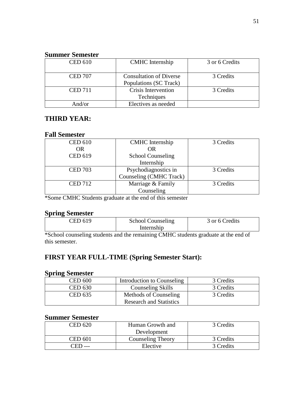## **Summer Semester**

| <b>CED 610</b> | <b>CMHC</b> Internship                                   | 3 or 6 Credits |
|----------------|----------------------------------------------------------|----------------|
| <b>CED 707</b> | <b>Consultation of Diverse</b><br>Populations (SC Track) | 3 Credits      |
| <b>CED 711</b> | Crisis Intervention<br><b>Techniques</b>                 | 3 Credits      |
| And/or         | Electives as needed                                      |                |

## **THIRD YEAR:**

## **Fall Semester**

| <b>CED 610</b> | <b>CMHC</b> Internship   | 3 Credits |
|----------------|--------------------------|-----------|
| <b>OR</b>      | OR                       |           |
| <b>CED 619</b> | <b>School Counseling</b> |           |
|                | Internship               |           |
| <b>CED 703</b> | Psychodiagnostics in     | 3 Credits |
|                | Counseling (CMHC Track)  |           |
| <b>CED 712</b> | Marriage & Family        | 3 Credits |
|                | Counseling               |           |

\*Some CMHC Students graduate at the end of this semester

## **Spring Semester**

| FD 619 | <b>School Counseling</b> | 3 or 6 Credits |
|--------|--------------------------|----------------|
|        | Internship               |                |
| .<br>. | ____                     |                |

\*School counseling students and the remaining CMHC students graduate at the end of this semester.

# **FIRST YEAR FULL-TIME (Spring Semester Start):**

## **Spring Semester**

| <b>CED 600</b> | Introduction to Counseling     | 3 Credits |
|----------------|--------------------------------|-----------|
| <b>CED 630</b> | Counseling Skills              | 3 Credits |
| <b>CED 635</b> | Methods of Counseling          | 3 Credits |
|                | <b>Research and Statistics</b> |           |

| CED 620 | Human Growth and         | 3 Credits |
|---------|--------------------------|-----------|
|         | Development              |           |
| CED 601 | <b>Counseling Theory</b> | 3 Credits |
|         | Elective                 | 3 Credits |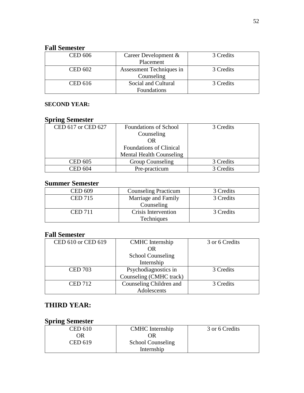# **Fall Semester**

| <b>CED 606</b> | Career Development &     | 3 Credits |
|----------------|--------------------------|-----------|
|                | Placement                |           |
| <b>CED 602</b> | Assessment Techniques in | 3 Credits |
|                | Counseling               |           |
| <b>CED 616</b> | Social and Cultural      | 3 Credits |
|                | Foundations              |           |

## **SECOND YEAR:**

## **Spring Semester**

| CED 617 or CED 627 | <b>Foundations of School</b>    | 3 Credits |
|--------------------|---------------------------------|-----------|
|                    | Counseling                      |           |
|                    | OR                              |           |
|                    | <b>Foundations of Clinical</b>  |           |
|                    | <b>Mental Health Counseling</b> |           |
| <b>CED 605</b>     | <b>Group Counseling</b>         | 3 Credits |
| CED 604            | Pre-practicum                   | 3 Credits |

# **Summer Semester**

| <b>CED 609</b> | <b>Counseling Practicum</b> | 3 Credits |
|----------------|-----------------------------|-----------|
| <b>CED 715</b> | Marriage and Family         | 3 Credits |
|                | Counseling                  |           |
| <b>CED 711</b> | Crisis Intervention         | 3 Credits |
|                | Techniques                  |           |

# **Fall Semester**

| CED 610 or CED 619 | <b>CMHC</b> Internship   | 3 or 6 Credits |
|--------------------|--------------------------|----------------|
|                    | <b>OR</b>                |                |
|                    | <b>School Counseling</b> |                |
|                    | Internship               |                |
| <b>CED 703</b>     | Psychodiagnostics in     | 3 Credits      |
|                    | Counseling (CMHC track)  |                |
| <b>CED 712</b>     | Counseling Children and  | 3 Credits      |
|                    | Adolescents              |                |

# **THIRD YEAR:**

## **Spring Semester**

| <b>CED 610</b> | <b>CMHC</b> Internship   | 3 or 6 Credits |
|----------------|--------------------------|----------------|
| OR             | DR.                      |                |
| <b>CED 619</b> | <b>School Counseling</b> |                |
|                | Internship               |                |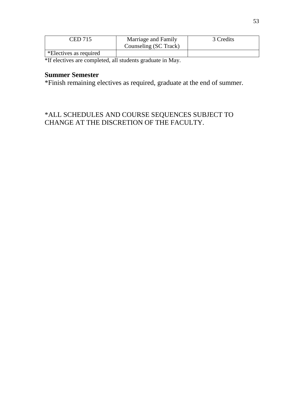| CED 715                             | Marriage and Family<br>Counseling (SC Track) | 3 Credits |
|-------------------------------------|----------------------------------------------|-----------|
| $\mathbf{F}$ *Electives as required |                                              |           |

\*If electives are completed, all students graduate in May.

# **Summer Semester**

\*Finish remaining electives as required, graduate at the end of summer.

# \*ALL SCHEDULES AND COURSE SEQUENCES SUBJECT TO CHANGE AT THE DISCRETION OF THE FACULTY.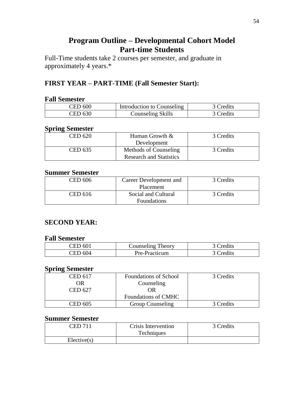# **Program Outline – Developmental Cohort Model Part-time Students**

Full-Time students take 2 courses per semester, and graduate in approximately 4 years.\*

# **FIRST YEAR – PART-TIME (Fall Semester Start):**

## **Fall Semester**

| CED 600 | Introduction to Counseling | 3 Credits |
|---------|----------------------------|-----------|
| CED 630 | Counseling Skills          | 3 Credits |

## **Spring Semester**

| 3 Credits                                                                                |
|------------------------------------------------------------------------------------------|
|                                                                                          |
|                                                                                          |
|                                                                                          |
| 3 Credits                                                                                |
|                                                                                          |
|                                                                                          |
|                                                                                          |
| Human Growth &<br>Development<br>Methods of Counseling<br><b>Research and Statistics</b> |

## **Summer Semester**

| CED 606 | Career Development and | 3 Credits |
|---------|------------------------|-----------|
|         | Placement              |           |
| CED 616 | Social and Cultural    | 3 Credits |
|         | <b>Foundations</b>     |           |

## **SECOND YEAR:**

## **Fall Semester**

| ID 601<br>'ED | <b>Counseling Theory</b> | 3 Credits |
|---------------|--------------------------|-----------|
| IED 604       | Pre-Practicum            | 3 Credits |

# **Spring Semester**

| <b>CED 617</b><br>OR | <b>Foundations of School</b><br>Counseling | 3 Credits |
|----------------------|--------------------------------------------|-----------|
| CED 627              | OR                                         |           |
|                      | <b>Foundations of CMHC</b>                 |           |
| <b>CED 605</b>       | <b>Group Counseling</b>                    | 3 Credits |

| ~ED 71      | Crisis Intervention<br>Techniques | 3 Credits |
|-------------|-----------------------------------|-----------|
| Electric(s) |                                   |           |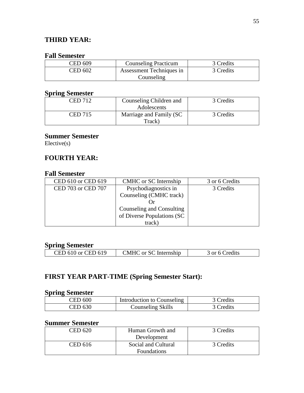# **THIRD YEAR:**

## **Fall Semester**

| CED 609 | <b>Counseling Practicum</b> | 3 Credits |
|---------|-----------------------------|-----------|
| CED 602 | Assessment Techniques in    | 3 Credits |
|         | Counseling                  |           |

## **Spring Semester**

| CED 712        | Counseling Children and | 3 Credits |
|----------------|-------------------------|-----------|
|                | Adolescents             |           |
| <b>CED 715</b> | Marriage and Family (SC | 3 Credits |
|                | Track)                  |           |

## **Summer Semester**

Elective(s)

# **FOURTH YEAR:**

## **Fall Semester**

| CED 610 or CED 619 | CMHC or SC Internship      | 3 or 6 Credits |
|--------------------|----------------------------|----------------|
| CED 703 or CED 707 | Psychodiagnostics in       | 3 Credits      |
|                    | Counseling (CMHC track)    |                |
|                    |                            |                |
|                    | Counseling and Consulting  |                |
|                    | of Diverse Populations (SC |                |
|                    | track)                     |                |

## **Spring Semester**

| CED 610 or CED 619 | "MHC or SC Internship" | or 6 Credits |
|--------------------|------------------------|--------------|

# **FIRST YEAR PART-TIME (Spring Semester Start):**

## **Spring Semester**

| CED 600 | Introduction to Counseling | 3 Credits |
|---------|----------------------------|-----------|
| CED 630 | <b>Counseling Skills</b>   | 3 Credits |

| CED 620 | Human Growth and    | 3 Credits |
|---------|---------------------|-----------|
|         | Development         |           |
| CED 616 | Social and Cultural | 3 Credits |
|         | Foundations         |           |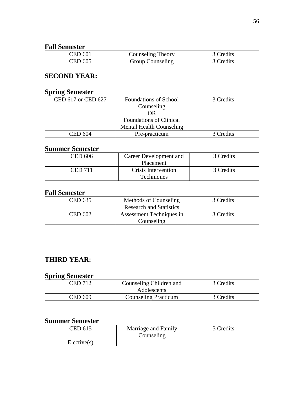## **Fall Semester**

| ED 601: | Counseling Theory       | 3 Credits |
|---------|-------------------------|-----------|
| CED 605 | <b>Group Counseling</b> | 3 Credits |

# **SECOND YEAR:**

## **Spring Semester**

| <b>Foundations of School</b>    | 3 Credits |
|---------------------------------|-----------|
| Counseling                      |           |
| OR                              |           |
| <b>Foundations of Clinical</b>  |           |
| <b>Mental Health Counseling</b> |           |
| Pre-practicum                   | 3 Credits |
|                                 |           |

# **Summer Semester**

| CED 606 | Career Development and | 3 Credits |
|---------|------------------------|-----------|
|         | Placement              |           |
| CED 711 | Crisis Intervention    | 3 Credits |
|         | <b>Techniques</b>      |           |

# **Fall Semester**

| CED 635        | Methods of Counseling          | 3 Credits |
|----------------|--------------------------------|-----------|
|                | <b>Research and Statistics</b> |           |
| <b>CED 602</b> | Assessment Techniques in       | 3 Credits |
|                | Counseling                     |           |

# **THIRD YEAR:**

## **Spring Semester**

| <b>CED 712</b> | Counseling Children and<br>Adolescents | 3 Credits |
|----------------|----------------------------------------|-----------|
| CED 609        | <b>Counseling Practicum</b>            | 3 Credits |

| CED 615     | Marriage and Family<br>Counseling | 3 Credits |
|-------------|-----------------------------------|-----------|
| Electric(s) |                                   |           |